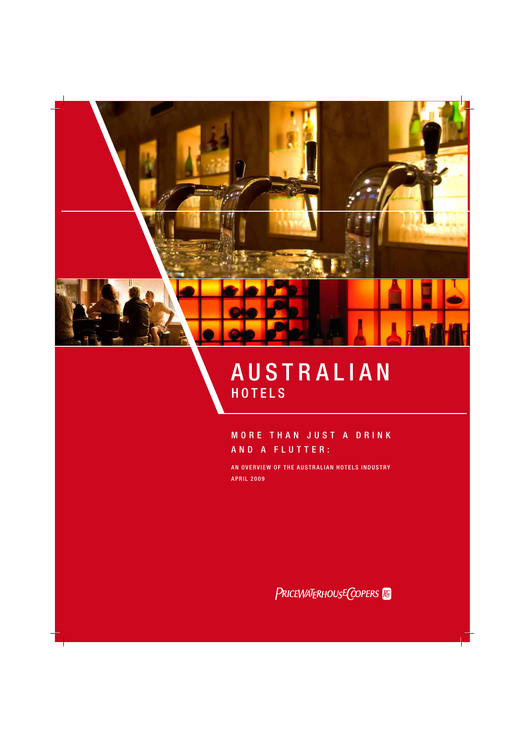

## **AUSTRALIAN** HOTELS

MORE THAN JUST A DRINK AND A FLUTTER:

AN OVERVIEW OF THE AUSTRALIAN HOTELS INDUSTRY APRIL 2009

PRICEWATERHOUSE COPERS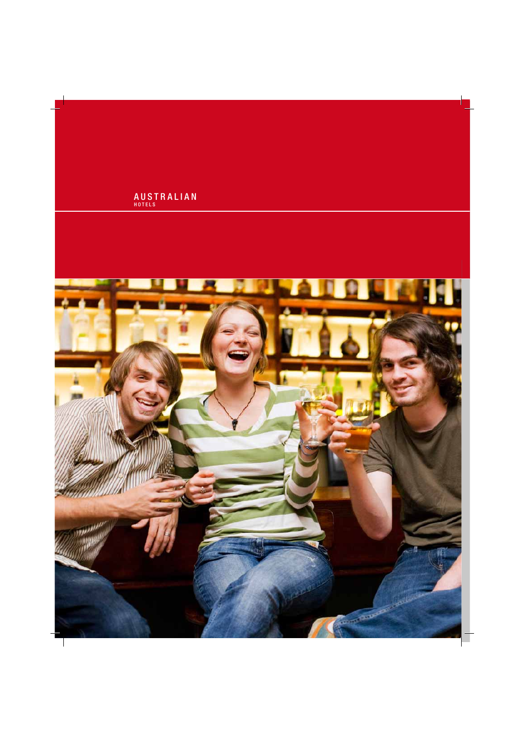#### A U S T R A L I A N HOTELS

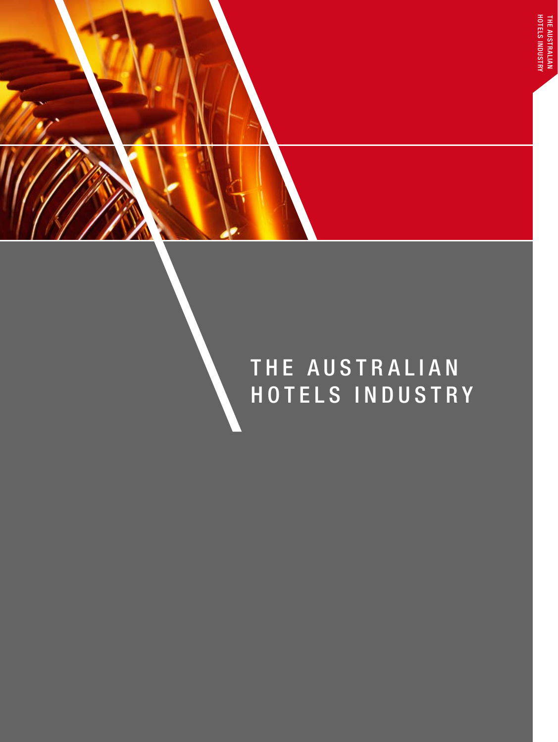

## THE AUSTRALIAN HOTELS INDUSTRY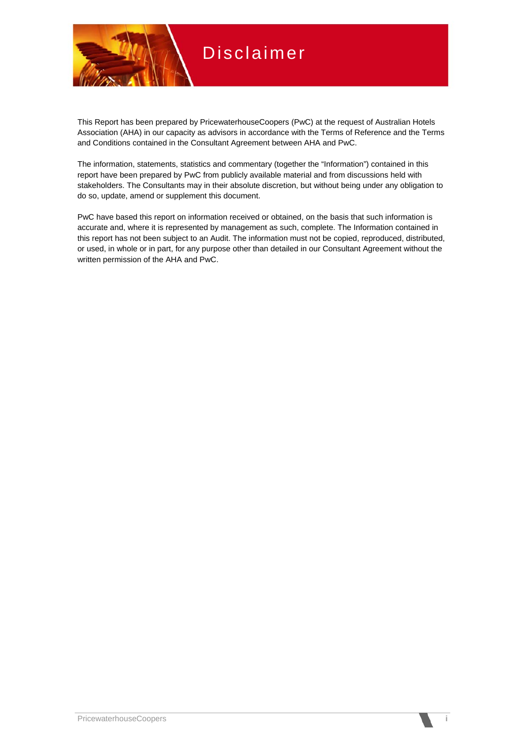

### Disclaimer

This Report has been prepared by PricewaterhouseCoopers (PwC) at the request of Australian Hotels Association (AHA) in our capacity as advisors in accordance with the Terms of Reference and the Terms and Conditions contained in the Consultant Agreement between AHA and PwC.

The information, statements, statistics and commentary (together the "Information") contained in this report have been prepared by PwC from publicly available material and from discussions held with stakeholders. The Consultants may in their absolute discretion, but without being under any obligation to do so, update, amend or supplement this document.

PwC have based this report on information received or obtained, on the basis that such information is accurate and, where it is represented by management as such, complete. The Information contained in this report has not been subject to an Audit. The information must not be copied, reproduced, distributed, or used, in whole or in part, for any purpose other than detailed in our Consultant Agreement without the written permission of the AHA and PwC.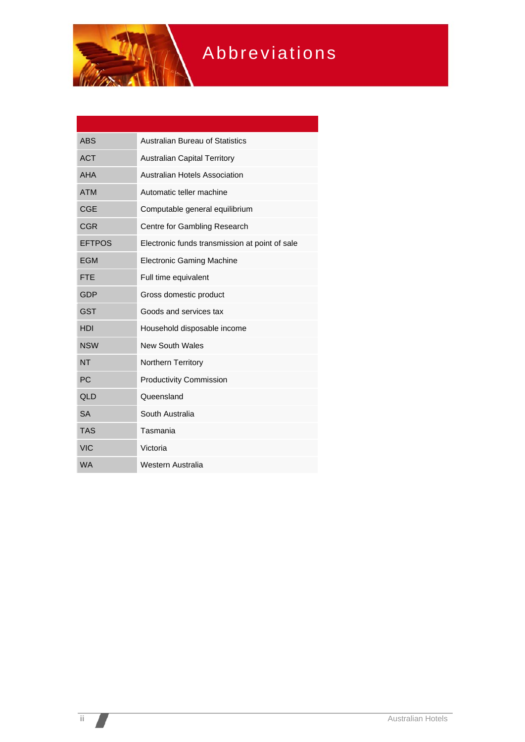

## **Abbreviations**

| <b>ABS</b>    | <b>Australian Bureau of Statistics</b>         |
|---------------|------------------------------------------------|
| <b>ACT</b>    | <b>Australian Capital Territory</b>            |
| <b>AHA</b>    | Australian Hotels Association                  |
| <b>ATM</b>    | Automatic teller machine                       |
| <b>CGE</b>    | Computable general equilibrium                 |
| <b>CGR</b>    | Centre for Gambling Research                   |
| <b>EFTPOS</b> | Electronic funds transmission at point of sale |
| <b>EGM</b>    | <b>Electronic Gaming Machine</b>               |
| <b>FTE</b>    | Full time equivalent                           |
| <b>GDP</b>    | Gross domestic product                         |
| <b>GST</b>    | Goods and services tax                         |
| <b>HDI</b>    | Household disposable income                    |
| <b>NSW</b>    | <b>New South Wales</b>                         |
| <b>NT</b>     | Northern Territory                             |
| <b>PC</b>     | <b>Productivity Commission</b>                 |
| QLD           | Queensland                                     |
| <b>SA</b>     | South Australia                                |
| <b>TAS</b>    | Tasmania                                       |
| <b>VIC</b>    | Victoria                                       |
| <b>WA</b>     | Western Australia                              |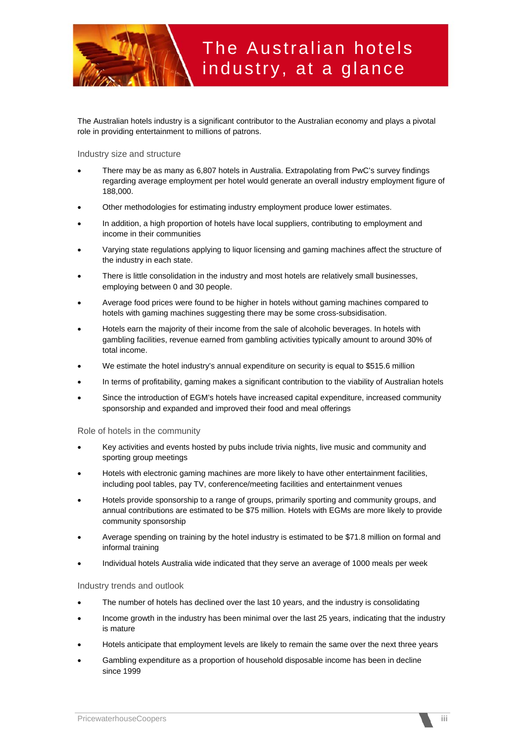

The Australian hotels industry is a significant contributor to the Australian economy and plays a pivotal role in providing entertainment to millions of patrons.

#### Industry size and structure

- There may be as many as 6,807 hotels in Australia. Extrapolating from PwC's survey findings regarding average employment per hotel would generate an overall industry employment figure of 188,000.
- Other methodologies for estimating industry employment produce lower estimates.
- In addition, a high proportion of hotels have local suppliers, contributing to employment and income in their communities
- Varying state regulations applying to liquor licensing and gaming machines affect the structure of the industry in each state.
- There is little consolidation in the industry and most hotels are relatively small businesses, employing between 0 and 30 people.
- Average food prices were found to be higher in hotels without gaming machines compared to hotels with gaming machines suggesting there may be some cross-subsidisation.
- Hotels earn the majority of their income from the sale of alcoholic beverages. In hotels with gambling facilities, revenue earned from gambling activities typically amount to around 30% of total income.
- We estimate the hotel industry's annual expenditure on security is equal to \$515.6 million
- In terms of profitability, gaming makes a significant contribution to the viability of Australian hotels
- Since the introduction of EGM's hotels have increased capital expenditure, increased community sponsorship and expanded and improved their food and meal offerings

#### Role of hotels in the community

- Key activities and events hosted by pubs include trivia nights, live music and community and sporting group meetings
- Hotels with electronic gaming machines are more likely to have other entertainment facilities, including pool tables, pay TV, conference/meeting facilities and entertainment venues
- Hotels provide sponsorship to a range of groups, primarily sporting and community groups, and annual contributions are estimated to be \$75 million. Hotels with EGMs are more likely to provide community sponsorship
- Average spending on training by the hotel industry is estimated to be \$71.8 million on formal and informal training
- Individual hotels Australia wide indicated that they serve an average of 1000 meals per week

#### Industry trends and outlook

- The number of hotels has declined over the last 10 years, and the industry is consolidating
- Income growth in the industry has been minimal over the last 25 years, indicating that the industry is mature
- Hotels anticipate that employment levels are likely to remain the same over the next three years
- Gambling expenditure as a proportion of household disposable income has been in decline since 1999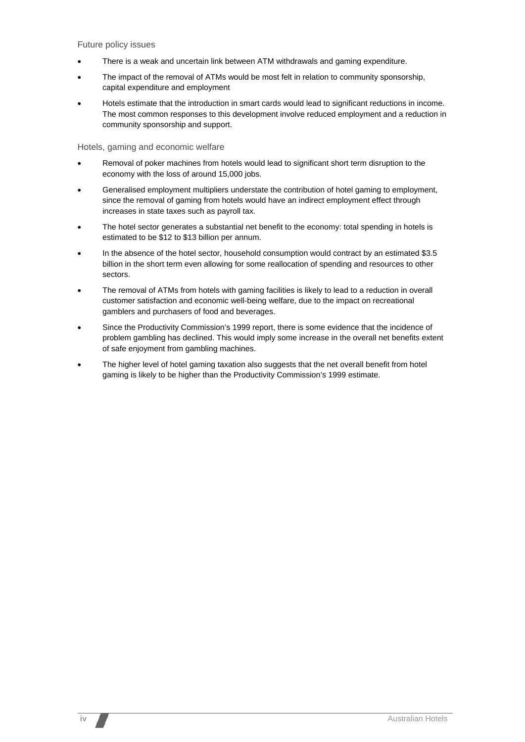Future policy issues

- There is a weak and uncertain link between ATM withdrawals and gaming expenditure.
- The impact of the removal of ATMs would be most felt in relation to community sponsorship, capital expenditure and employment
- Hotels estimate that the introduction in smart cards would lead to significant reductions in income. The most common responses to this development involve reduced employment and a reduction in community sponsorship and support.

#### Hotels, gaming and economic welfare

- Removal of poker machines from hotels would lead to significant short term disruption to the economy with the loss of around 15,000 jobs.
- Generalised employment multipliers understate the contribution of hotel gaming to employment, since the removal of gaming from hotels would have an indirect employment effect through increases in state taxes such as payroll tax.
- The hotel sector generates a substantial net benefit to the economy: total spending in hotels is estimated to be \$12 to \$13 billion per annum.
- In the absence of the hotel sector, household consumption would contract by an estimated \$3.5 billion in the short term even allowing for some reallocation of spending and resources to other sectors.
- The removal of ATMs from hotels with gaming facilities is likely to lead to a reduction in overall customer satisfaction and economic well-being welfare, due to the impact on recreational gamblers and purchasers of food and beverages.
- Since the Productivity Commission's 1999 report, there is some evidence that the incidence of problem gambling has declined. This would imply some increase in the overall net benefits extent of safe enjoyment from gambling machines.
- The higher level of hotel gaming taxation also suggests that the net overall benefit from hotel gaming is likely to be higher than the Productivity Commission's 1999 estimate.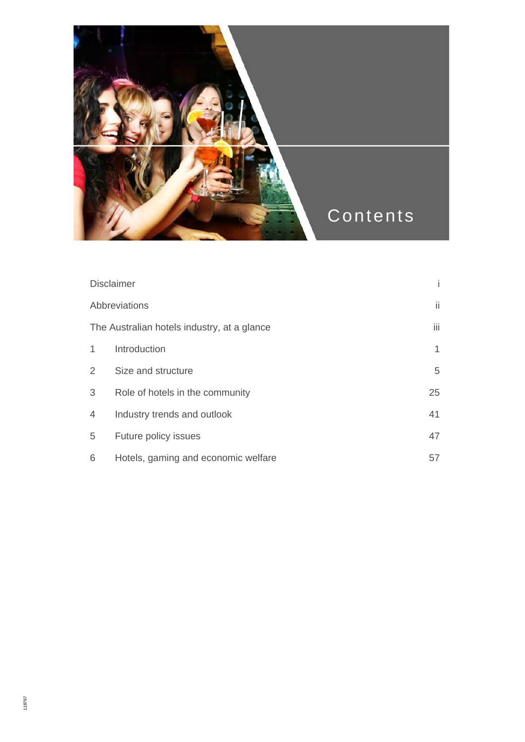

|                                             | <b>Disclaimer</b>                   | i  |  |
|---------------------------------------------|-------------------------------------|----|--|
| Abbreviations                               |                                     |    |  |
| The Australian hotels industry, at a glance |                                     |    |  |
| 1                                           | Introduction                        | 1  |  |
| 2                                           | Size and structure                  | 5  |  |
| 3                                           | Role of hotels in the community     | 25 |  |
| $\overline{4}$                              | Industry trends and outlook         | 41 |  |
| 5                                           | Future policy issues                | 47 |  |
| 6                                           | Hotels, gaming and economic welfare | 57 |  |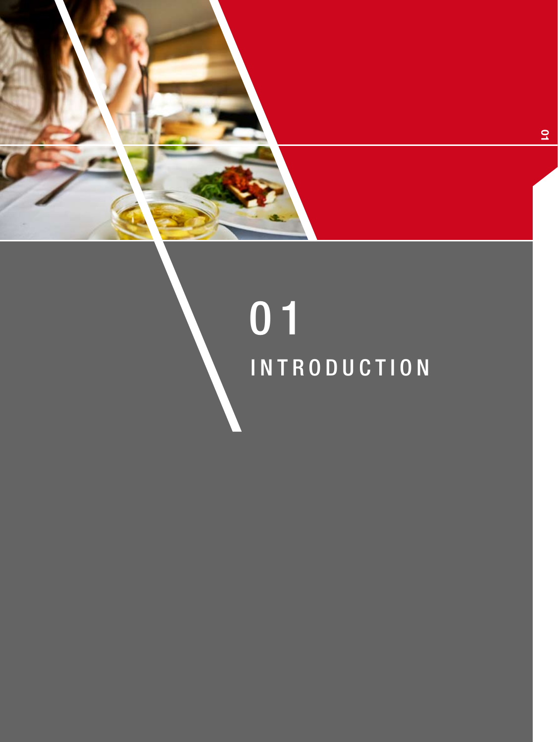

# $01$ **INTRODUCTION**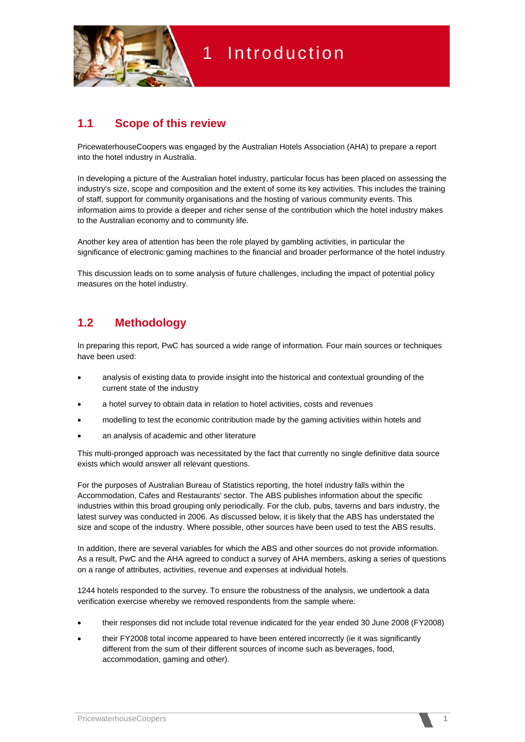

#### **1.1 Scope of this review**

PricewaterhouseCoopers was engaged by the Australian Hotels Association (AHA) to prepare a report into the hotel industry in Australia.

In developing a picture of the Australian hotel industry, particular focus has been placed on assessing the industry's size, scope and composition and the extent of some its key activities. This includes the training of staff, support for community organisations and the hosting of various community events. This information aims to provide a deeper and richer sense of the contribution which the hotel industry makes to the Australian economy and to community life.

Another key area of attention has been the role played by gambling activities, in particular the significance of electronic gaming machines to the financial and broader performance of the hotel industry

This discussion leads on to some analysis of future challenges, including the impact of potential policy measures on the hotel industry.

#### **1.2 Methodology**

In preparing this report, PwC has sourced a wide range of information. Four main sources or techniques have been used:

- analysis of existing data to provide insight into the historical and contextual grounding of the current state of the industry
- a hotel survey to obtain data in relation to hotel activities, costs and revenues
- modelling to test the economic contribution made by the gaming activities within hotels and
- an analysis of academic and other literature

This multi-pronged approach was necessitated by the fact that currently no single definitive data source exists which would answer all relevant questions.

For the purposes of Australian Bureau of Statistics reporting, the hotel industry falls within the Accommodation, Cafes and Restaurants' sector. The ABS publishes information about the specific industries within this broad grouping only periodically. For the club, pubs, taverns and bars industry, the latest survey was conducted in 2006. As discussed below, it is likely that the ABS has understated the size and scope of the industry. Where possible, other sources have been used to test the ABS results.

In addition, there are several variables for which the ABS and other sources do not provide information. As a result, PwC and the AHA agreed to conduct a survey of AHA members, asking a series of questions on a range of attributes, activities, revenue and expenses at individual hotels.

1244 hotels responded to the survey. To ensure the robustness of the analysis, we undertook a data verification exercise whereby we removed respondents from the sample where:

- their responses did not include total revenue indicated for the year ended 30 June 2008 (FY2008)
- their FY2008 total income appeared to have been entered incorrectly (ie it was significantly different from the sum of their different sources of income such as beverages, food, accommodation, gaming and other).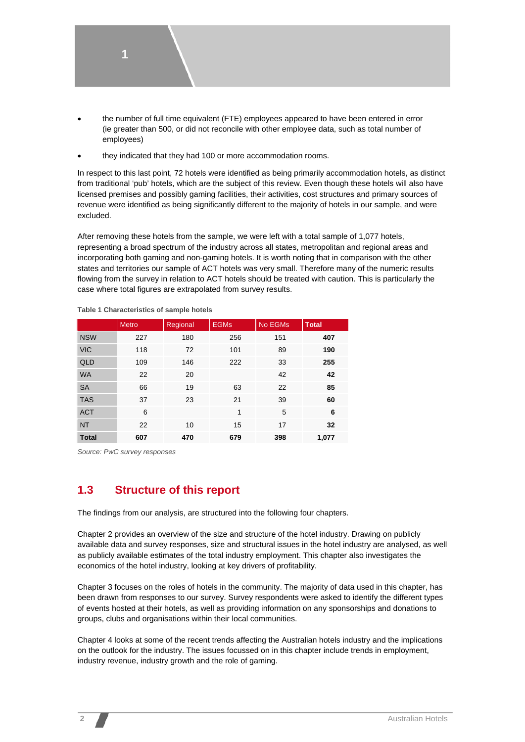

- the number of full time equivalent (FTE) employees appeared to have been entered in error (ie greater than 500, or did not reconcile with other employee data, such as total number of employees)
- they indicated that they had 100 or more accommodation rooms.

In respect to this last point, 72 hotels were identified as being primarily accommodation hotels, as distinct from traditional 'pub' hotels, which are the subject of this review. Even though these hotels will also have licensed premises and possibly gaming facilities, their activities, cost structures and primary sources of revenue were identified as being significantly different to the majority of hotels in our sample, and were excluded.

After removing these hotels from the sample, we were left with a total sample of 1,077 hotels, representing a broad spectrum of the industry across all states, metropolitan and regional areas and incorporating both gaming and non-gaming hotels. It is worth noting that in comparison with the other states and territories our sample of ACT hotels was very small. Therefore many of the numeric results flowing from the survey in relation to ACT hotels should be treated with caution. This is particularly the case where total figures are extrapolated from survey results.

|              | <b>Metro</b> | Regional | <b>EGMs</b> | No EGMs | <b>Total</b> |
|--------------|--------------|----------|-------------|---------|--------------|
| <b>NSW</b>   | 227          | 180      | 256         | 151     | 407          |
| <b>VIC</b>   | 118          | 72       | 101         | 89      | 190          |
| QLD          | 109          | 146      | 222         | 33      | 255          |
| <b>WA</b>    | 22           | 20       |             | 42      | 42           |
| <b>SA</b>    | 66           | 19       | 63          | 22      | 85           |
| <b>TAS</b>   | 37           | 23       | 21          | 39      | 60           |
| <b>ACT</b>   | 6            |          | 1           | 5       | 6            |
| <b>NT</b>    | 22           | 10       | 15          | 17      | 32           |
| <b>Total</b> | 607          | 470      | 679         | 398     | 1,077        |

**Table 1 Characteristics of sample hotels** 

*Source: PwC survey responses* 

#### **1.3 Structure of this report**

The findings from our analysis, are structured into the following four chapters.

Chapter 2 provides an overview of the size and structure of the hotel industry. Drawing on publicly available data and survey responses, size and structural issues in the hotel industry are analysed, as well as publicly available estimates of the total industry employment. This chapter also investigates the economics of the hotel industry, looking at key drivers of profitability.

Chapter 3 focuses on the roles of hotels in the community. The majority of data used in this chapter, has been drawn from responses to our survey. Survey respondents were asked to identify the different types of events hosted at their hotels, as well as providing information on any sponsorships and donations to groups, clubs and organisations within their local communities.

Chapter 4 looks at some of the recent trends affecting the Australian hotels industry and the implications on the outlook for the industry. The issues focussed on in this chapter include trends in employment, industry revenue, industry growth and the role of gaming.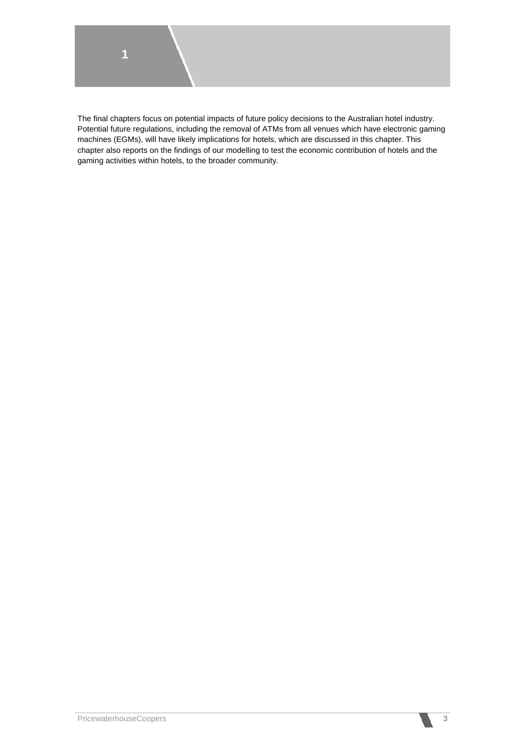

The final chapters focus on potential impacts of future policy decisions to the Australian hotel industry. Potential future regulations, including the removal of ATMs from all venues which have electronic gaming machines (EGMs), will have likely implications for hotels, which are discussed in this chapter. This chapter also reports on the findings of our modelling to test the economic contribution of hotels and the gaming activities within hotels, to the broader community.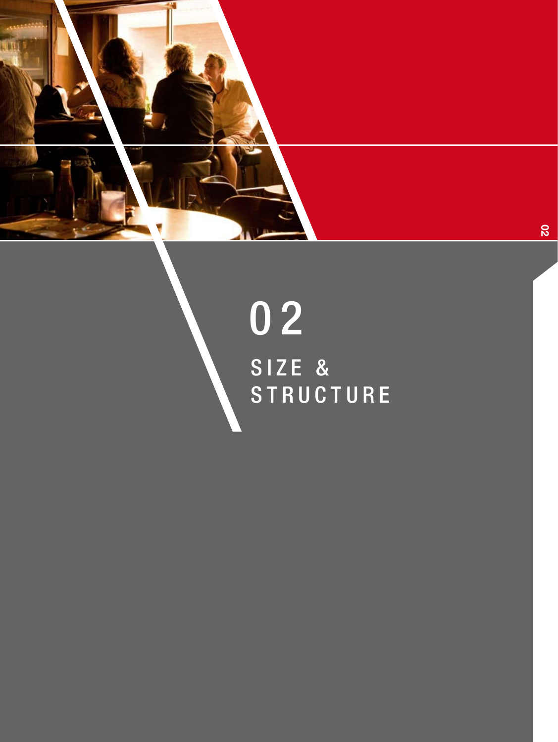

## $\overline{\mathbf{0}\mathbf{2}}$ SIZE & **STRUCTURE**

 $\overline{\mathcal{S}}$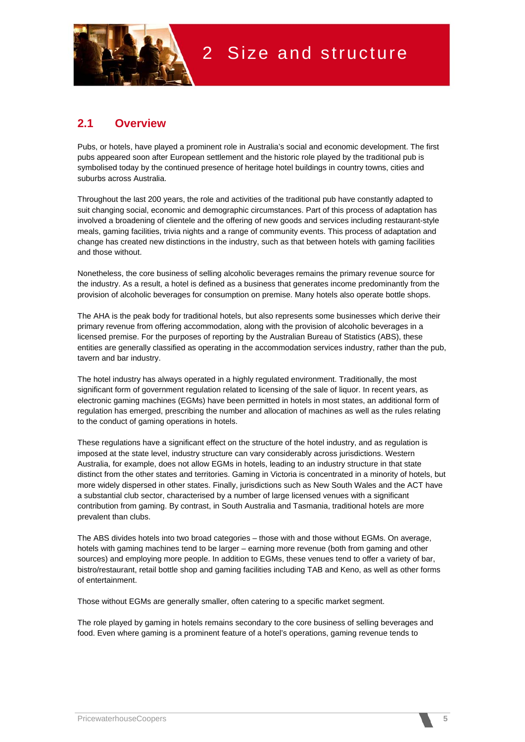

#### **2.1 Overview**

Pubs, or hotels, have played a prominent role in Australia's social and economic development. The first pubs appeared soon after European settlement and the historic role played by the traditional pub is symbolised today by the continued presence of heritage hotel buildings in country towns, cities and suburbs across Australia.

Throughout the last 200 years, the role and activities of the traditional pub have constantly adapted to suit changing social, economic and demographic circumstances. Part of this process of adaptation has involved a broadening of clientele and the offering of new goods and services including restaurant-style meals, gaming facilities, trivia nights and a range of community events. This process of adaptation and change has created new distinctions in the industry, such as that between hotels with gaming facilities and those without.

Nonetheless, the core business of selling alcoholic beverages remains the primary revenue source for the industry. As a result, a hotel is defined as a business that generates income predominantly from the provision of alcoholic beverages for consumption on premise. Many hotels also operate bottle shops.

The AHA is the peak body for traditional hotels, but also represents some businesses which derive their primary revenue from offering accommodation, along with the provision of alcoholic beverages in a licensed premise. For the purposes of reporting by the Australian Bureau of Statistics (ABS), these entities are generally classified as operating in the accommodation services industry, rather than the pub, tavern and bar industry.

The hotel industry has always operated in a highly regulated environment. Traditionally, the most significant form of government regulation related to licensing of the sale of liquor. In recent years, as electronic gaming machines (EGMs) have been permitted in hotels in most states, an additional form of regulation has emerged, prescribing the number and allocation of machines as well as the rules relating to the conduct of gaming operations in hotels.

These regulations have a significant effect on the structure of the hotel industry, and as regulation is imposed at the state level, industry structure can vary considerably across jurisdictions. Western Australia, for example, does not allow EGMs in hotels, leading to an industry structure in that state distinct from the other states and territories. Gaming in Victoria is concentrated in a minority of hotels, but more widely dispersed in other states. Finally, jurisdictions such as New South Wales and the ACT have a substantial club sector, characterised by a number of large licensed venues with a significant contribution from gaming. By contrast, in South Australia and Tasmania, traditional hotels are more prevalent than clubs.

The ABS divides hotels into two broad categories – those with and those without EGMs. On average, hotels with gaming machines tend to be larger – earning more revenue (both from gaming and other sources) and employing more people. In addition to EGMs, these venues tend to offer a variety of bar, bistro/restaurant, retail bottle shop and gaming facilities including TAB and Keno, as well as other forms of entertainment.

Those without EGMs are generally smaller, often catering to a specific market segment.

The role played by gaming in hotels remains secondary to the core business of selling beverages and food. Even where gaming is a prominent feature of a hotel's operations, gaming revenue tends to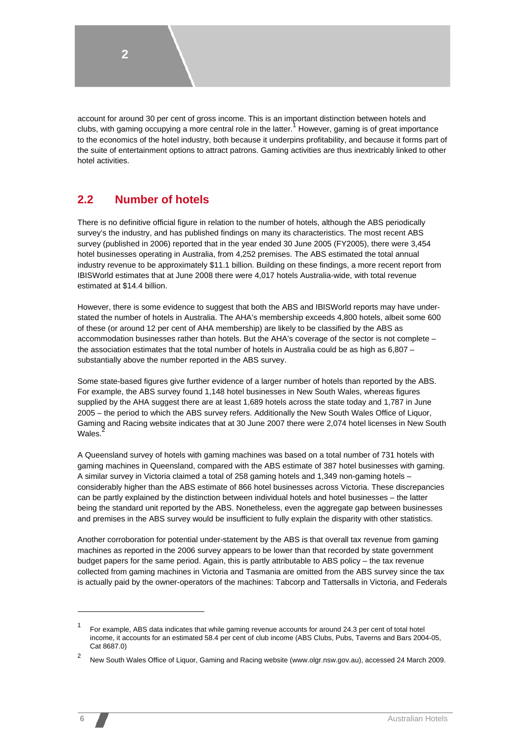

account for around 30 per cent of gross income. This is an important distinction between hotels and clubs, with gaming occupying a more central role in the latter.<sup>1</sup> However, gaming is of great importance to the economics of the hotel industry, both because it underpins profitability, and because it forms part of the suite of entertainment options to attract patrons. Gaming activities are thus inextricably linked to other hotel activities.

#### **2.2 Number of hotels**

There is no definitive official figure in relation to the number of hotels, although the ABS periodically survey's the industry, and has published findings on many its characteristics. The most recent ABS survey (published in 2006) reported that in the year ended 30 June 2005 (FY2005), there were 3,454 hotel businesses operating in Australia, from 4,252 premises. The ABS estimated the total annual industry revenue to be approximately \$11.1 billion. Building on these findings, a more recent report from IBISWorld estimates that at June 2008 there were 4,017 hotels Australia-wide, with total revenue estimated at \$14.4 billion.

However, there is some evidence to suggest that both the ABS and IBISWorld reports may have understated the number of hotels in Australia. The AHA's membership exceeds 4,800 hotels, albeit some 600 of these (or around 12 per cent of AHA membership) are likely to be classified by the ABS as accommodation businesses rather than hotels. But the AHA's coverage of the sector is not complete – the association estimates that the total number of hotels in Australia could be as high as 6,807 – substantially above the number reported in the ABS survey.

Some state-based figures give further evidence of a larger number of hotels than reported by the ABS. For example, the ABS survey found 1,148 hotel businesses in New South Wales, whereas figures supplied by the AHA suggest there are at least 1,689 hotels across the state today and 1,787 in June 2005 – the period to which the ABS survey refers. Additionally the New South Wales Office of Liquor, Gaming and Racing website indicates that at 30 June 2007 there were 2,074 hotel licenses in New South Wales.

A Queensland survey of hotels with gaming machines was based on a total number of 731 hotels with gaming machines in Queensland, compared with the ABS estimate of 387 hotel businesses with gaming. A similar survey in Victoria claimed a total of 258 gaming hotels and 1,349 non-gaming hotels – considerably higher than the ABS estimate of 866 hotel businesses across Victoria. These discrepancies can be partly explained by the distinction between individual hotels and hotel businesses – the latter being the standard unit reported by the ABS. Nonetheless, even the aggregate gap between businesses and premises in the ABS survey would be insufficient to fully explain the disparity with other statistics.

Another corroboration for potential under-statement by the ABS is that overall tax revenue from gaming machines as reported in the 2006 survey appears to be lower than that recorded by state government budget papers for the same period. Again, this is partly attributable to ABS policy – the tax revenue collected from gaming machines in Victoria and Tasmania are omitted from the ABS survey since the tax is actually paid by the owner-operators of the machines: Tabcorp and Tattersalls in Victoria, and Federals

 $\overline{a}$ 

<sup>1</sup> For example, ABS data indicates that while gaming revenue accounts for around 24.3 per cent of total hotel income, it accounts for an estimated 58.4 per cent of club income (ABS Clubs, Pubs, Taverns and Bars 2004-05, Cat 8687.0)

<sup>2</sup> New South Wales Office of Liquor, Gaming and Racing website (www.olgr.nsw.gov.au), accessed 24 March 2009.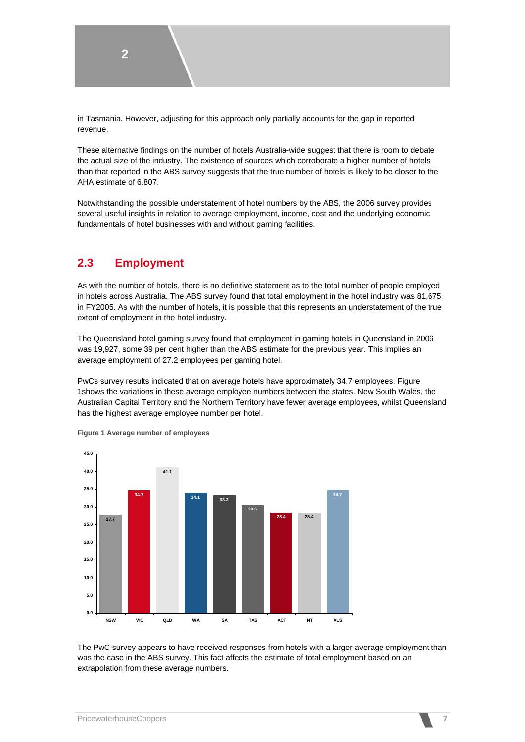

in Tasmania. However, adjusting for this approach only partially accounts for the gap in reported revenue.

These alternative findings on the number of hotels Australia-wide suggest that there is room to debate the actual size of the industry. The existence of sources which corroborate a higher number of hotels than that reported in the ABS survey suggests that the true number of hotels is likely to be closer to the AHA estimate of 6,807.

Notwithstanding the possible understatement of hotel numbers by the ABS, the 2006 survey provides several useful insights in relation to average employment, income, cost and the underlying economic fundamentals of hotel businesses with and without gaming facilities.

#### **2.3 Employment**

As with the number of hotels, there is no definitive statement as to the total number of people employed in hotels across Australia. The ABS survey found that total employment in the hotel industry was 81,675 in FY2005. As with the number of hotels, it is possible that this represents an understatement of the true extent of employment in the hotel industry.

The Queensland hotel gaming survey found that employment in gaming hotels in Queensland in 2006 was 19,927, some 39 per cent higher than the ABS estimate for the previous year. This implies an average employment of 27.2 employees per gaming hotel.

PwCs survey results indicated that on average hotels have approximately 34.7 employees. Figure 1shows the variations in these average employee numbers between the states. New South Wales, the Australian Capital Territory and the Northern Territory have fewer average employees, whilst Queensland has the highest average employee number per hotel.



**Figure 1 Average number of employees** 

The PwC survey appears to have received responses from hotels with a larger average employment than was the case in the ABS survey. This fact affects the estimate of total employment based on an extrapolation from these average numbers.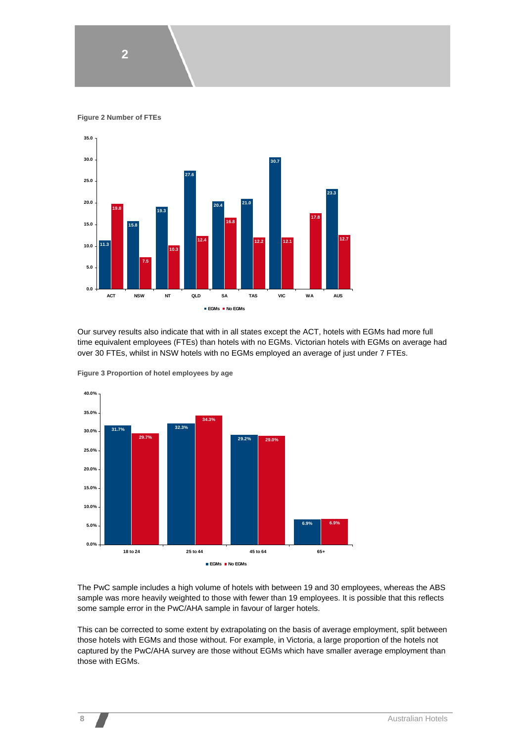**2** 

#### **Figure 2 Number of FTEs**



Our survey results also indicate that with in all states except the ACT, hotels with EGMs had more full time equivalent employees (FTEs) than hotels with no EGMs. Victorian hotels with EGMs on average had over 30 FTEs, whilst in NSW hotels with no EGMs employed an average of just under 7 FTEs.



**Figure 3 Proportion of hotel employees by age** 

The PwC sample includes a high volume of hotels with between 19 and 30 employees, whereas the ABS sample was more heavily weighted to those with fewer than 19 employees. It is possible that this reflects some sample error in the PwC/AHA sample in favour of larger hotels.

This can be corrected to some extent by extrapolating on the basis of average employment, split between those hotels with EGMs and those without. For example, in Victoria, a large proportion of the hotels not captured by the PwC/AHA survey are those without EGMs which have smaller average employment than those with EGMs.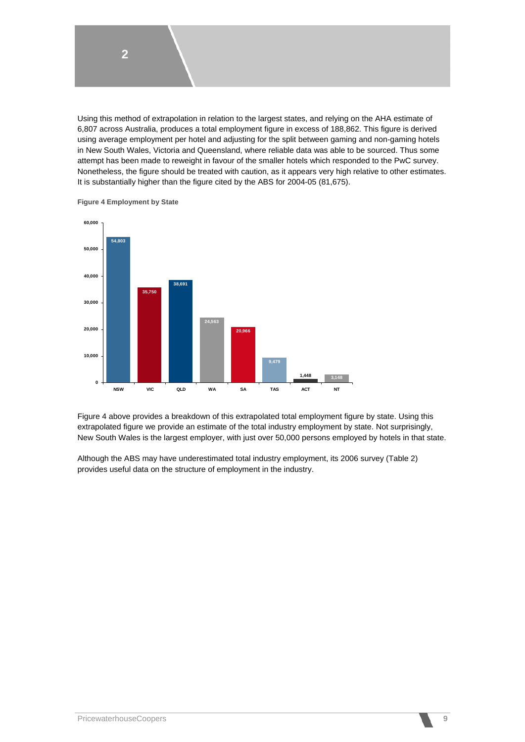



**Figure 4 Employment by State** 

**2**

Figure 4 above provides a breakdown of this extrapolated total employment figure by state. Using this extrapolated figure we provide an estimate of the total industry employment by state. Not surprisingly, New South Wales is the largest employer, with just over 50,000 persons employed by hotels in that state.

Although the ABS may have underestimated total industry employment, its 2006 survey (Table 2) provides useful data on the structure of employment in the industry.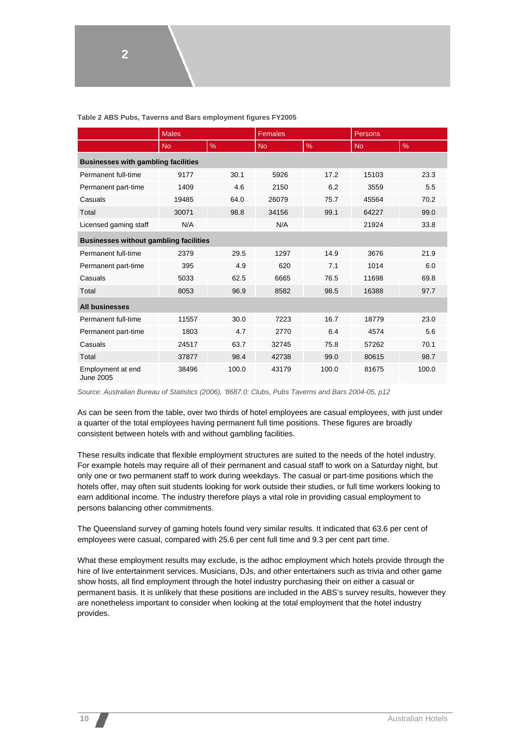#### **Table 2 ABS Pubs, Taverns and Bars employment figures FY2005**

|                                               | <b>Males</b> |       | <b>Females</b> |       | Persons   |       |  |  |  |
|-----------------------------------------------|--------------|-------|----------------|-------|-----------|-------|--|--|--|
|                                               | <b>No</b>    | %     | <b>No</b>      | %     | <b>No</b> | %     |  |  |  |
| <b>Businesses with gambling facilities</b>    |              |       |                |       |           |       |  |  |  |
| Permanent full-time                           | 9177         | 30.1  | 5926           | 17.2  | 15103     | 23.3  |  |  |  |
| Permanent part-time                           | 1409         | 4.6   | 2150           | 6.2   | 3559      | 5.5   |  |  |  |
| Casuals                                       | 19485        | 64.0  | 26079          | 75.7  | 45564     | 70.2  |  |  |  |
| Total                                         | 30071        | 98.8  | 34156          | 99.1  | 64227     | 99.0  |  |  |  |
| Licensed gaming staff                         | N/A          |       | N/A            |       | 21924     | 33.8  |  |  |  |
| <b>Businesses without gambling facilities</b> |              |       |                |       |           |       |  |  |  |
| Permanent full-time                           | 2379         | 29.5  | 1297           | 14.9  | 3676      | 21.9  |  |  |  |
| Permanent part-time                           | 395          | 4.9   | 620            | 7.1   | 1014      | 6.0   |  |  |  |
| Casuals                                       | 5033         | 62.5  | 6665           | 76.5  | 11698     | 69.8  |  |  |  |
| Total                                         | 8053         | 96.9  | 8582           | 98.5  | 16388     | 97.7  |  |  |  |
| <b>All businesses</b>                         |              |       |                |       |           |       |  |  |  |
| Permanent full-time                           | 11557        | 30.0  | 7223           | 16.7  | 18779     | 23.0  |  |  |  |
| Permanent part-time                           | 1803         | 4.7   | 2770           | 6.4   | 4574      | 5.6   |  |  |  |
| Casuals                                       | 24517        | 63.7  | 32745          | 75.8  | 57262     | 70.1  |  |  |  |
| Total                                         | 37877        | 98.4  | 42738          | 99.0  | 80615     | 98.7  |  |  |  |
| Employment at end<br>June 2005                | 38496        | 100.0 | 43179          | 100.0 | 81675     | 100.0 |  |  |  |

*Source: Australian Bureau of Statistics (2006), '8687.0: Clubs, Pubs Taverns and Bars 2004-05, p12* 

As can be seen from the table, over two thirds of hotel employees are casual employees, with just under a quarter of the total employees having permanent full time positions. These figures are broadly consistent between hotels with and without gambling facilities.

These results indicate that flexible employment structures are suited to the needs of the hotel industry. For example hotels may require all of their permanent and casual staff to work on a Saturday night, but only one or two permanent staff to work during weekdays. The casual or part-time positions which the hotels offer, may often suit students looking for work outside their studies, or full time workers looking to earn additional income. The industry therefore plays a vital role in providing casual employment to persons balancing other commitments.

The Queensland survey of gaming hotels found very similar results. It indicated that 63.6 per cent of employees were casual, compared with 25.6 per cent full time and 9.3 per cent part time.

What these employment results may exclude, is the adhoc employment which hotels provide through the hire of live entertainment services. Musicians, DJs, and other entertainers such as trivia and other game show hosts, all find employment through the hotel industry purchasing their on either a casual or permanent basis. It is unlikely that these positions are included in the ABS's survey results, however they are nonetheless important to consider when looking at the total employment that the hotel industry provides.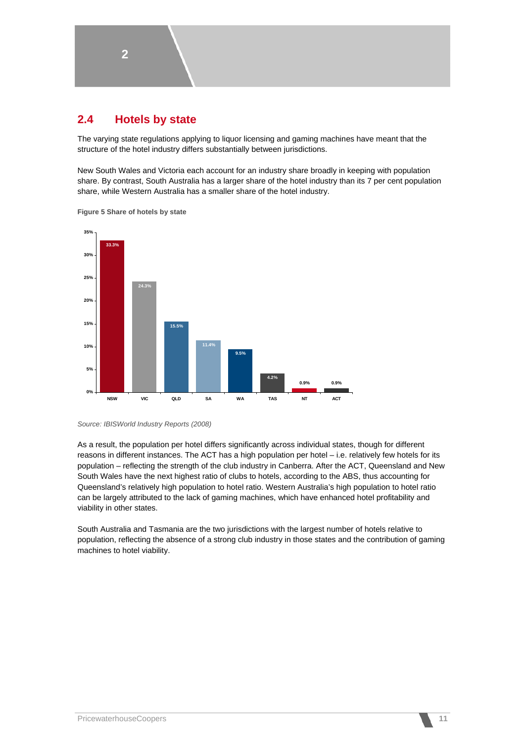

**2**

The varying state regulations applying to liquor licensing and gaming machines have meant that the structure of the hotel industry differs substantially between jurisdictions.

New South Wales and Victoria each account for an industry share broadly in keeping with population share. By contrast, South Australia has a larger share of the hotel industry than its 7 per cent population share, while Western Australia has a smaller share of the hotel industry.



**Figure 5 Share of hotels by state** 

*Source: IBISWorld Industry Reports (2008)* 

As a result, the population per hotel differs significantly across individual states, though for different reasons in different instances. The ACT has a high population per hotel – i.e. relatively few hotels for its population – reflecting the strength of the club industry in Canberra. After the ACT, Queensland and New South Wales have the next highest ratio of clubs to hotels, according to the ABS, thus accounting for Queensland's relatively high population to hotel ratio. Western Australia's high population to hotel ratio can be largely attributed to the lack of gaming machines, which have enhanced hotel profitability and viability in other states.

South Australia and Tasmania are the two jurisdictions with the largest number of hotels relative to population, reflecting the absence of a strong club industry in those states and the contribution of gaming machines to hotel viability.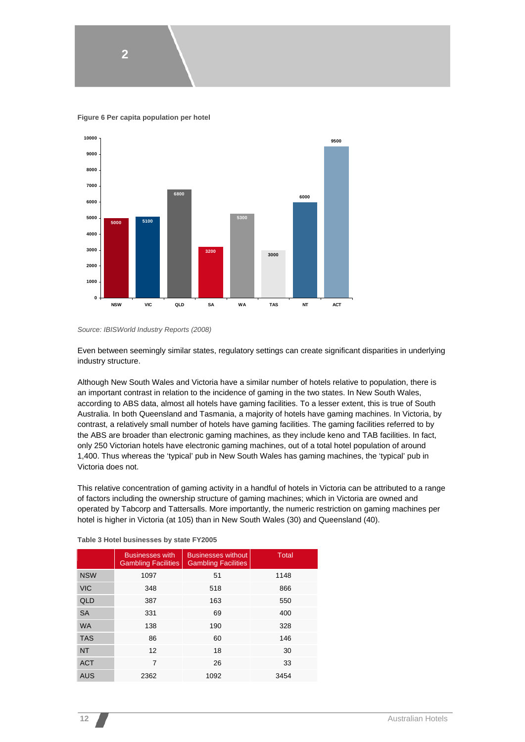





*Source: IBISWorld Industry Reports (2008)* 

Even between seemingly similar states, regulatory settings can create significant disparities in underlying industry structure.

Although New South Wales and Victoria have a similar number of hotels relative to population, there is an important contrast in relation to the incidence of gaming in the two states. In New South Wales, according to ABS data, almost all hotels have gaming facilities. To a lesser extent, this is true of South Australia. In both Queensland and Tasmania, a majority of hotels have gaming machines. In Victoria, by contrast, a relatively small number of hotels have gaming facilities. The gaming facilities referred to by the ABS are broader than electronic gaming machines, as they include keno and TAB facilities. In fact, only 250 Victorian hotels have electronic gaming machines, out of a total hotel population of around 1,400. Thus whereas the 'typical' pub in New South Wales has gaming machines, the 'typical' pub in Victoria does not.

This relative concentration of gaming activity in a handful of hotels in Victoria can be attributed to a range of factors including the ownership structure of gaming machines; which in Victoria are owned and operated by Tabcorp and Tattersalls. More importantly, the numeric restriction on gaming machines per hotel is higher in Victoria (at 105) than in New South Wales (30) and Queensland (40).

|            | <b>Businesses with</b><br><b>Gambling Facilities</b> | <b>Businesses without</b><br><b>Gambling Facilities</b> | <b>Total</b> |
|------------|------------------------------------------------------|---------------------------------------------------------|--------------|
| <b>NSW</b> | 1097                                                 | 51                                                      | 1148         |
| <b>VIC</b> | 348                                                  | 518                                                     | 866          |
| <b>QLD</b> | 387                                                  | 163                                                     | 550          |
| <b>SA</b>  | 331                                                  | 69                                                      | 400          |
| <b>WA</b>  | 138                                                  | 190                                                     | 328          |
| <b>TAS</b> | 86                                                   | 60                                                      | 146          |
| <b>NT</b>  | 12                                                   | 18                                                      | 30           |
| <b>ACT</b> | 7                                                    | 26                                                      | 33           |
| <b>AUS</b> | 2362                                                 | 1092                                                    | 3454         |

| Table 3 Hotel businesses by state FY2005 |  |  |  |
|------------------------------------------|--|--|--|
|------------------------------------------|--|--|--|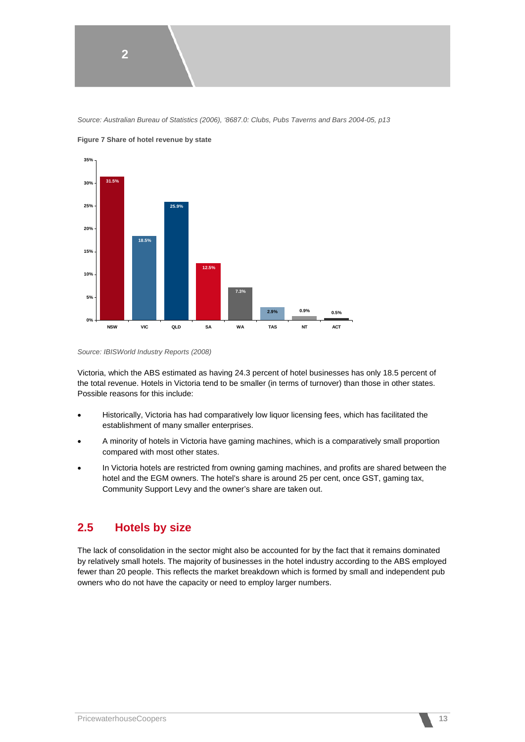

*Source: Australian Bureau of Statistics (2006), '8687.0: Clubs, Pubs Taverns and Bars 2004-05, p13* 





*Source: IBISWorld Industry Reports (2008)* 

Victoria, which the ABS estimated as having 24.3 percent of hotel businesses has only 18.5 percent of the total revenue. Hotels in Victoria tend to be smaller (in terms of turnover) than those in other states. Possible reasons for this include:

- Historically, Victoria has had comparatively low liquor licensing fees, which has facilitated the establishment of many smaller enterprises.
- A minority of hotels in Victoria have gaming machines, which is a comparatively small proportion compared with most other states.
- In Victoria hotels are restricted from owning gaming machines, and profits are shared between the hotel and the EGM owners. The hotel's share is around 25 per cent, once GST, gaming tax, Community Support Levy and the owner's share are taken out.

#### **2.5 Hotels by size**

The lack of consolidation in the sector might also be accounted for by the fact that it remains dominated by relatively small hotels. The majority of businesses in the hotel industry according to the ABS employed fewer than 20 people. This reflects the market breakdown which is formed by small and independent pub owners who do not have the capacity or need to employ larger numbers.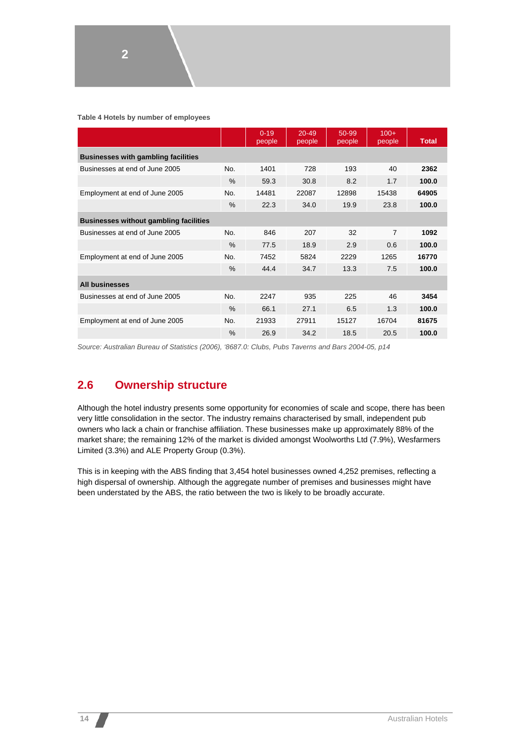#### **Table 4 Hotels by number of employees**

|                                               |               | $0 - 19$<br>people | $20 - 49$<br>people | 50-99<br>people | $100+$<br>people | <b>Total</b> |  |  |  |
|-----------------------------------------------|---------------|--------------------|---------------------|-----------------|------------------|--------------|--|--|--|
| <b>Businesses with gambling facilities</b>    |               |                    |                     |                 |                  |              |  |  |  |
| Businesses at end of June 2005                | No.           | 1401               | 728                 | 193             | 40               | 2362         |  |  |  |
|                                               | $\%$          | 59.3               | 30.8                | 8.2             | 1.7              | 100.0        |  |  |  |
| Employment at end of June 2005                | No.           | 14481              | 22087               | 12898           | 15438            | 64905        |  |  |  |
|                                               | $\%$          | 22.3               | 34.0                | 19.9            | 23.8             | 100.0        |  |  |  |
| <b>Businesses without gambling facilities</b> |               |                    |                     |                 |                  |              |  |  |  |
| Businesses at end of June 2005                | No.           | 846                | 207                 | 32              | $\overline{7}$   | 1092         |  |  |  |
|                                               | $\frac{0}{0}$ | 77.5               | 18.9                | 2.9             | 0.6              | 100.0        |  |  |  |
| Employment at end of June 2005                | No.           | 7452               | 5824                | 2229            | 1265             | 16770        |  |  |  |
|                                               | $\%$          | 44.4               | 34.7                | 13.3            | 7.5              | 100.0        |  |  |  |
| <b>All businesses</b>                         |               |                    |                     |                 |                  |              |  |  |  |
| Businesses at end of June 2005                | No.           | 2247               | 935                 | 225             | 46               | 3454         |  |  |  |
|                                               | $\%$          | 66.1               | 27.1                | 6.5             | 1.3              | 100.0        |  |  |  |
| Employment at end of June 2005                | No.           | 21933              | 27911               | 15127           | 16704            | 81675        |  |  |  |
|                                               | $\frac{0}{0}$ | 26.9               | 34.2                | 18.5            | 20.5             | 100.0        |  |  |  |

*Source: Australian Bureau of Statistics (2006), '8687.0: Clubs, Pubs Taverns and Bars 2004-05, p14* 

#### **2.6 Ownership structure**

Although the hotel industry presents some opportunity for economies of scale and scope, there has been very little consolidation in the sector. The industry remains characterised by small, independent pub owners who lack a chain or franchise affiliation. These businesses make up approximately 88% of the market share; the remaining 12% of the market is divided amongst Woolworths Ltd (7.9%), Wesfarmers Limited (3.3%) and ALE Property Group (0.3%).

This is in keeping with the ABS finding that 3,454 hotel businesses owned 4,252 premises, reflecting a high dispersal of ownership. Although the aggregate number of premises and businesses might have been understated by the ABS, the ratio between the two is likely to be broadly accurate.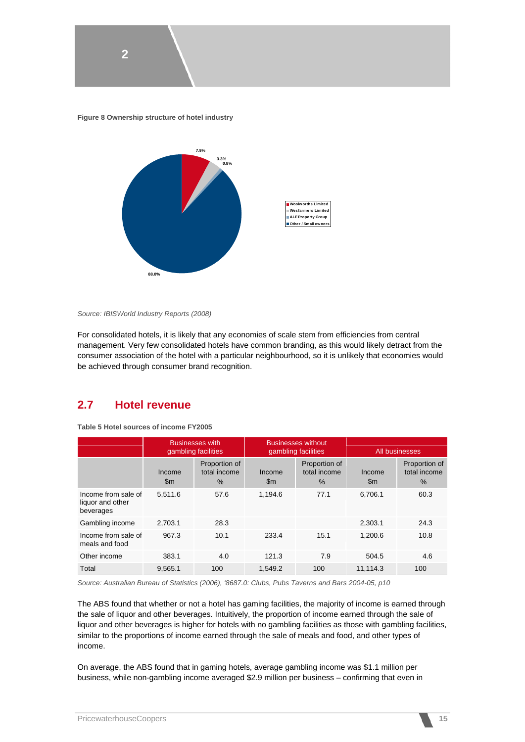

**Figure 8 Ownership structure of hotel industry** 



*Source: IBISWorld Industry Reports (2008)* 

For consolidated hotels, it is likely that any economies of scale stem from efficiencies from central management. Very few consolidated hotels have common branding, as this would likely detract from the consumer association of the hotel with a particular neighbourhood, so it is unlikely that economies would be achieved through consumer brand recognition.

#### **2.7 Hotel revenue**

**Table 5 Hotel sources of income FY2005** 

|                                                      | <b>Businesses with</b><br>gambling facilities |                                       | <b>Businesses without</b><br>gambling facilities |                                       | All businesses          |                                       |
|------------------------------------------------------|-----------------------------------------------|---------------------------------------|--------------------------------------------------|---------------------------------------|-------------------------|---------------------------------------|
|                                                      | Income<br>$\mathsf{Sm}$                       | Proportion of<br>total income<br>$\%$ | Income<br>$\mathsf{Sm}$                          | Proportion of<br>total income<br>$\%$ | Income<br>$\mathsf{Sm}$ | Proportion of<br>total income<br>$\%$ |
| Income from sale of<br>liquor and other<br>beverages | 5.511.6                                       | 57.6                                  | 1.194.6                                          | 77.1                                  | 6.706.1                 | 60.3                                  |
| Gambling income                                      | 2,703.1                                       | 28.3                                  |                                                  |                                       | 2,303.1                 | 24.3                                  |
| Income from sale of<br>meals and food                | 967.3                                         | 10.1                                  | 233.4                                            | 15.1                                  | 1.200.6                 | 10.8                                  |
| Other income                                         | 383.1                                         | 4.0                                   | 121.3                                            | 7.9                                   | 504.5                   | 4.6                                   |
| Total                                                | 9,565.1                                       | 100                                   | 1,549.2                                          | 100                                   | 11,114.3                | 100                                   |

*Source: Australian Bureau of Statistics (2006), '8687.0: Clubs, Pubs Taverns and Bars 2004-05, p10* 

The ABS found that whether or not a hotel has gaming facilities, the majority of income is earned through the sale of liquor and other beverages. Intuitively, the proportion of income earned through the sale of liquor and other beverages is higher for hotels with no gambling facilities as those with gambling facilities, similar to the proportions of income earned through the sale of meals and food, and other types of income.

On average, the ABS found that in gaming hotels, average gambling income was \$1.1 million per business, while non-gambling income averaged \$2.9 million per business – confirming that even in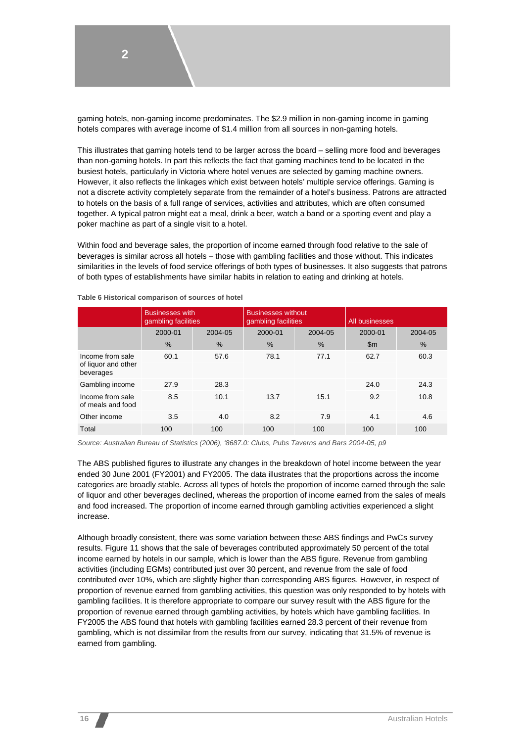**2** 

gaming hotels, non-gaming income predominates. The \$2.9 million in non-gaming income in gaming hotels compares with average income of \$1.4 million from all sources in non-gaming hotels.

This illustrates that gaming hotels tend to be larger across the board – selling more food and beverages than non-gaming hotels. In part this reflects the fact that gaming machines tend to be located in the busiest hotels, particularly in Victoria where hotel venues are selected by gaming machine owners. However, it also reflects the linkages which exist between hotels' multiple service offerings. Gaming is not a discrete activity completely separate from the remainder of a hotel's business. Patrons are attracted to hotels on the basis of a full range of services, activities and attributes, which are often consumed together. A typical patron might eat a meal, drink a beer, watch a band or a sporting event and play a poker machine as part of a single visit to a hotel.

Within food and beverage sales, the proportion of income earned through food relative to the sale of beverages is similar across all hotels – those with gambling facilities and those without. This indicates similarities in the levels of food service offerings of both types of businesses. It also suggests that patrons of both types of establishments have similar habits in relation to eating and drinking at hotels.

|                                                      | <b>Businesses with</b><br>gambling facilities |         | <b>Businesses without</b><br>gambling facilities |         | All businesses |         |
|------------------------------------------------------|-----------------------------------------------|---------|--------------------------------------------------|---------|----------------|---------|
|                                                      | 2000-01                                       | 2004-05 | 2000-01                                          | 2004-05 | 2000-01        | 2004-05 |
|                                                      | %                                             | %       | $\%$                                             | $\%$    | $\mathsf{Sm}$  | %       |
| Income from sale<br>of liquor and other<br>beverages | 60.1                                          | 57.6    | 78.1                                             | 77.1    | 62.7           | 60.3    |
| Gambling income                                      | 27.9                                          | 28.3    |                                                  |         | 24.0           | 24.3    |
| Income from sale<br>of meals and food                | 8.5                                           | 10.1    | 13.7                                             | 15.1    | 9.2            | 10.8    |
| Other income                                         | 3.5                                           | 4.0     | 8.2                                              | 7.9     | 4.1            | 4.6     |
| Total                                                | 100                                           | 100     | 100                                              | 100     | 100            | 100     |

**Table 6 Historical comparison of sources of hotel** 

*Source: Australian Bureau of Statistics (2006), '8687.0: Clubs, Pubs Taverns and Bars 2004-05, p9* 

The ABS published figures to illustrate any changes in the breakdown of hotel income between the year ended 30 June 2001 (FY2001) and FY2005. The data illustrates that the proportions across the income categories are broadly stable. Across all types of hotels the proportion of income earned through the sale of liquor and other beverages declined, whereas the proportion of income earned from the sales of meals and food increased. The proportion of income earned through gambling activities experienced a slight increase.

Although broadly consistent, there was some variation between these ABS findings and PwCs survey results. Figure 11 shows that the sale of beverages contributed approximately 50 percent of the total income earned by hotels in our sample, which is lower than the ABS figure. Revenue from gambling activities (including EGMs) contributed just over 30 percent, and revenue from the sale of food contributed over 10%, which are slightly higher than corresponding ABS figures. However, in respect of proportion of revenue earned from gambling activities, this question was only responded to by hotels with gambling facilities. It is therefore appropriate to compare our survey result with the ABS figure for the proportion of revenue earned through gambling activities, by hotels which have gambling facilities. In FY2005 the ABS found that hotels with gambling facilities earned 28.3 percent of their revenue from gambling, which is not dissimilar from the results from our survey, indicating that 31.5% of revenue is earned from gambling.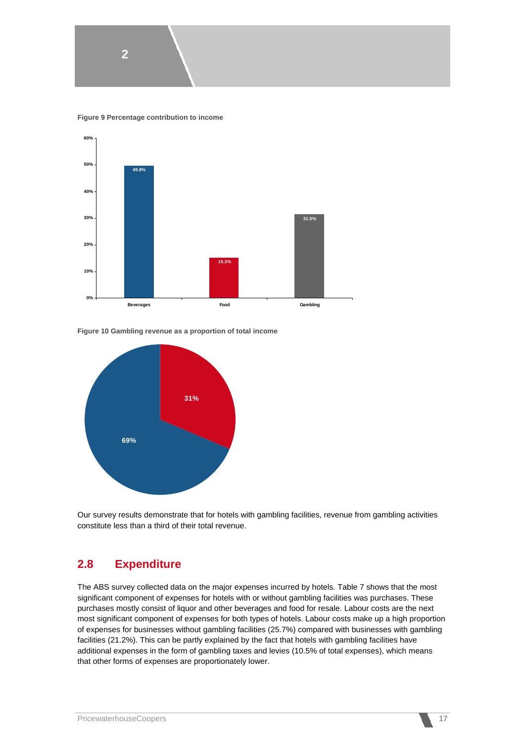

**Figure 9 Percentage contribution to income** 



**Figure 10 Gambling revenue as a proportion of total income** 



Our survey results demonstrate that for hotels with gambling facilities, revenue from gambling activities constitute less than a third of their total revenue.

#### **2.8 Expenditure**

The ABS survey collected data on the major expenses incurred by hotels. Table 7 shows that the most significant component of expenses for hotels with or without gambling facilities was purchases. These purchases mostly consist of liquor and other beverages and food for resale. Labour costs are the next most significant component of expenses for both types of hotels. Labour costs make up a high proportion of expenses for businesses without gambling facilities (25.7%) compared with businesses with gambling facilities (21.2%). This can be partly explained by the fact that hotels with gambling facilities have additional expenses in the form of gambling taxes and levies (10.5% of total expenses), which means that other forms of expenses are proportionately lower.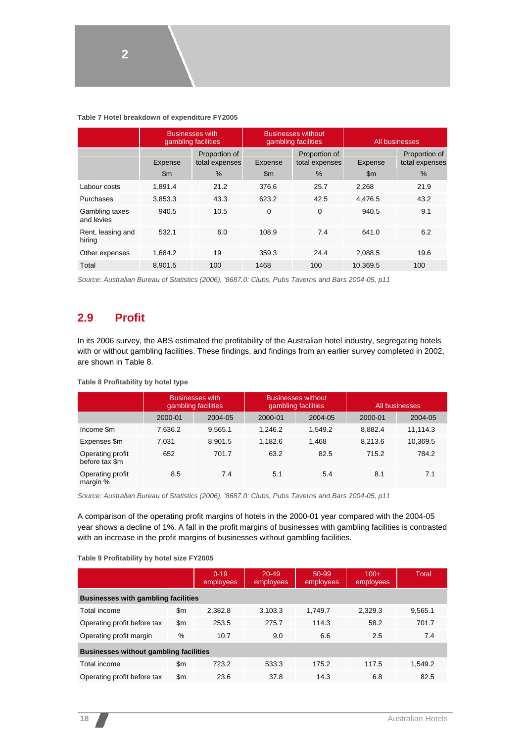#### **Table 7 Hotel breakdown of expenditure FY2005**

|                              | <b>Businesses with</b><br>gambling facilities |                                 | <b>Businesses without</b><br>gambling facilities |                                 | All businesses |                                 |
|------------------------------|-----------------------------------------------|---------------------------------|--------------------------------------------------|---------------------------------|----------------|---------------------------------|
|                              | Expense                                       | Proportion of<br>total expenses | Expense                                          | Proportion of<br>total expenses | Expense        | Proportion of<br>total expenses |
|                              | $\mathsf{Sm}$                                 | $\%$                            | $\mathsf{S}$ m                                   | $\%$                            | $\mathsf{Sm}$  | $\%$                            |
| Labour costs                 | 1,891.4                                       | 21.2                            | 376.6                                            | 25.7                            | 2,268          | 21.9                            |
| Purchases                    | 3,853.3                                       | 43.3                            | 623.2                                            | 42.5                            | 4.476.5        | 43.2                            |
| Gambling taxes<br>and levies | 940.5                                         | 10.5                            | $\mathbf 0$                                      | $\mathbf 0$                     | 940.5          | 9.1                             |
| Rent, leasing and<br>hiring  | 532.1                                         | 6.0                             | 108.9                                            | 7.4                             | 641.0          | 6.2                             |
| Other expenses               | 1,684.2                                       | 19                              | 359.3                                            | 24.4                            | 2,088.5        | 19.6                            |
| Total                        | 8,901.5                                       | 100                             | 1468                                             | 100                             | 10,369.5       | 100                             |

*Source: Australian Bureau of Statistics (2006), '8687.0: Clubs, Pubs Taverns and Bars 2004-05, p11* 

#### **2.9 Profit**

In its 2006 survey, the ABS estimated the profitability of the Australian hotel industry, segregating hotels with or without gambling facilities. These findings, and findings from an earlier survey completed in 2002, are shown in Table 8.

#### **Table 8 Profitability by hotel type**

|                                    | <b>Businesses with</b><br>gambling facilities |         | <b>Businesses without</b><br>gambling facilities |         | All businesses |          |
|------------------------------------|-----------------------------------------------|---------|--------------------------------------------------|---------|----------------|----------|
|                                    | 2000-01                                       | 2004-05 | 2000-01                                          | 2004-05 | 2000-01        | 2004-05  |
| Income \$m                         | 7,636.2                                       | 9,565.1 | 1.246.2                                          | 1.549.2 | 8.882.4        | 11,114.3 |
| Expenses \$m                       | 7,031                                         | 8,901.5 | 1.182.6                                          | 1.468   | 8.213.6        | 10,369.5 |
| Operating profit<br>before tax \$m | 652                                           | 701.7   | 63.2                                             | 82.5    | 715.2          | 784.2    |
| Operating profit<br>margin %       | 8.5                                           | 7.4     | 5.1                                              | 5.4     | 8.1            | 7.1      |

*Source: Australian Bureau of Statistics (2006), '8687.0: Clubs, Pubs Taverns and Bars 2004-05, p11* 

A comparison of the operating profit margins of hotels in the 2000-01 year compared with the 2004-05 year shows a decline of 1%. A fall in the profit margins of businesses with gambling facilities is contrasted with an increase in the profit margins of businesses without gambling facilities.

#### **Table 9 Profitability by hotel size FY2005**

|                                               |               | $0 - 19$<br>employees | $20 - 49$<br>employees | 50-99<br>employees | $100+$<br>employees | <b>Total</b> |  |  |
|-----------------------------------------------|---------------|-----------------------|------------------------|--------------------|---------------------|--------------|--|--|
| <b>Businesses with gambling facilities</b>    |               |                       |                        |                    |                     |              |  |  |
| Total income                                  | \$m           | 2,382.8               | 3,103.3                | 1,749.7            | 2,329.3             | 9,565.1      |  |  |
| Operating profit before tax                   | \$m           | 253.5                 | 275.7                  | 114.3              | 58.2                | 701.7        |  |  |
| Operating profit margin                       | %             | 10.7                  | 9.0                    | 6.6                | 2.5                 | 7.4          |  |  |
| <b>Businesses without gambling facilities</b> |               |                       |                        |                    |                     |              |  |  |
| Total income                                  | \$m           | 723.2                 | 533.3                  | 175.2              | 117.5               | 1,549.2      |  |  |
| Operating profit before tax                   | $\mathsf{Sm}$ | 23.6                  | 37.8                   | 14.3               | 6.8                 | 82.5         |  |  |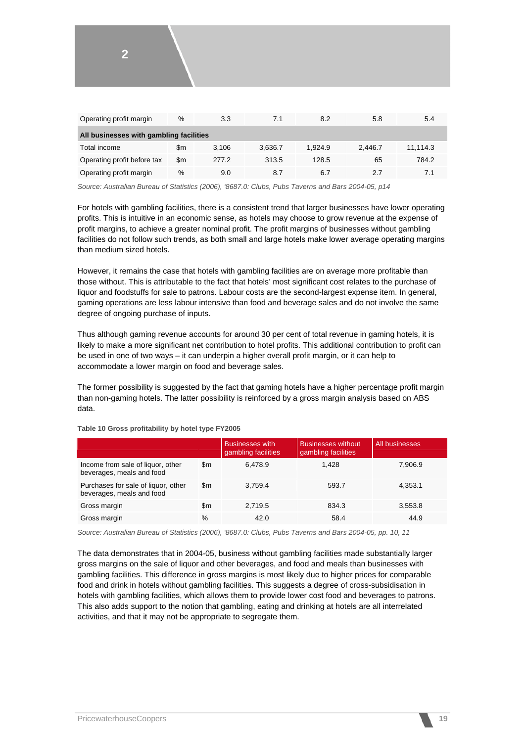| Operating profit margin                 | $\%$ | 3.3   | 7.1     | 8.2     | 5.8     | 5.4      |  |  |  |
|-----------------------------------------|------|-------|---------|---------|---------|----------|--|--|--|
| All businesses with gambling facilities |      |       |         |         |         |          |  |  |  |
| Total income                            | \$m  | 3.106 | 3,636.7 | 1.924.9 | 2,446.7 | 11,114.3 |  |  |  |
| Operating profit before tax             | \$m  | 277.2 | 313.5   | 128.5   | 65      | 784.2    |  |  |  |
| Operating profit margin                 | $\%$ | 9.0   | 8.7     | 6.7     | 2.7     | 7.1      |  |  |  |

*Source: Australian Bureau of Statistics (2006), '8687.0: Clubs, Pubs Taverns and Bars 2004-05, p14* 

For hotels with gambling facilities, there is a consistent trend that larger businesses have lower operating profits. This is intuitive in an economic sense, as hotels may choose to grow revenue at the expense of profit margins, to achieve a greater nominal profit. The profit margins of businesses without gambling facilities do not follow such trends, as both small and large hotels make lower average operating margins than medium sized hotels.

However, it remains the case that hotels with gambling facilities are on average more profitable than those without. This is attributable to the fact that hotels' most significant cost relates to the purchase of liquor and foodstuffs for sale to patrons. Labour costs are the second-largest expense item. In general, gaming operations are less labour intensive than food and beverage sales and do not involve the same degree of ongoing purchase of inputs.

Thus although gaming revenue accounts for around 30 per cent of total revenue in gaming hotels, it is likely to make a more significant net contribution to hotel profits. This additional contribution to profit can be used in one of two ways – it can underpin a higher overall profit margin, or it can help to accommodate a lower margin on food and beverage sales.

The former possibility is suggested by the fact that gaming hotels have a higher percentage profit margin than non-gaming hotels. The latter possibility is reinforced by a gross margin analysis based on ABS data.

|                                                                  |      | <b>Businesses with</b><br>gambling facilities | <b>Businesses without</b><br>gambling facilities | All businesses |
|------------------------------------------------------------------|------|-----------------------------------------------|--------------------------------------------------|----------------|
| Income from sale of liquor, other<br>beverages, meals and food   | \$m  | 6.478.9                                       | 1.428                                            | 7,906.9        |
| Purchases for sale of liquor, other<br>beverages, meals and food | \$m  | 3.759.4                                       | 593.7                                            | 4.353.1        |
| Gross margin                                                     | \$m  | 2.719.5                                       | 834.3                                            | 3,553.8        |
| Gross margin                                                     | $\%$ | 42.0                                          | 58.4                                             | 44.9           |

**Table 10 Gross profitability by hotel type FY2005** 

**2**

*Source: Australian Bureau of Statistics (2006), '8687.0: Clubs, Pubs Taverns and Bars 2004-05, pp. 10, 11* 

The data demonstrates that in 2004-05, business without gambling facilities made substantially larger gross margins on the sale of liquor and other beverages, and food and meals than businesses with gambling facilities. This difference in gross margins is most likely due to higher prices for comparable food and drink in hotels without gambling facilities. This suggests a degree of cross-subsidisation in hotels with gambling facilities, which allows them to provide lower cost food and beverages to patrons. This also adds support to the notion that gambling, eating and drinking at hotels are all interrelated activities, and that it may not be appropriate to segregate them.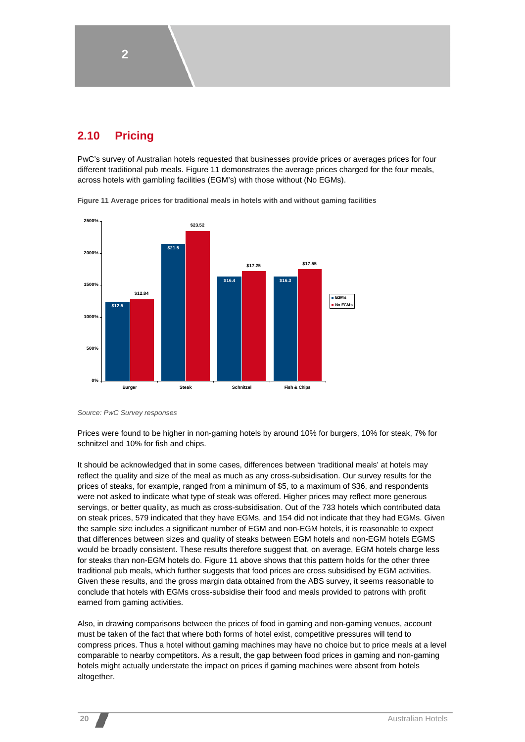#### **2.10 Pricing**

PwC's survey of Australian hotels requested that businesses provide prices or averages prices for four different traditional pub meals. Figure 11 demonstrates the average prices charged for the four meals, across hotels with gambling facilities (EGM's) with those without (No EGMs).



**Figure 11 Average prices for traditional meals in hotels with and without gaming facilities** 

*Source: PwC Survey responses* 

Prices were found to be higher in non-gaming hotels by around 10% for burgers, 10% for steak, 7% for schnitzel and 10% for fish and chips.

It should be acknowledged that in some cases, differences between 'traditional meals' at hotels may reflect the quality and size of the meal as much as any cross-subsidisation. Our survey results for the prices of steaks, for example, ranged from a minimum of \$5, to a maximum of \$36, and respondents were not asked to indicate what type of steak was offered. Higher prices may reflect more generous servings, or better quality, as much as cross-subsidisation. Out of the 733 hotels which contributed data on steak prices, 579 indicated that they have EGMs, and 154 did not indicate that they had EGMs. Given the sample size includes a significant number of EGM and non-EGM hotels, it is reasonable to expect that differences between sizes and quality of steaks between EGM hotels and non-EGM hotels EGMS would be broadly consistent. These results therefore suggest that, on average, EGM hotels charge less for steaks than non-EGM hotels do. Figure 11 above shows that this pattern holds for the other three traditional pub meals, which further suggests that food prices are cross subsidised by EGM activities. Given these results, and the gross margin data obtained from the ABS survey, it seems reasonable to conclude that hotels with EGMs cross-subsidise their food and meals provided to patrons with profit earned from gaming activities.

Also, in drawing comparisons between the prices of food in gaming and non-gaming venues, account must be taken of the fact that where both forms of hotel exist, competitive pressures will tend to compress prices. Thus a hotel without gaming machines may have no choice but to price meals at a level comparable to nearby competitors. As a result, the gap between food prices in gaming and non-gaming hotels might actually understate the impact on prices if gaming machines were absent from hotels altogether.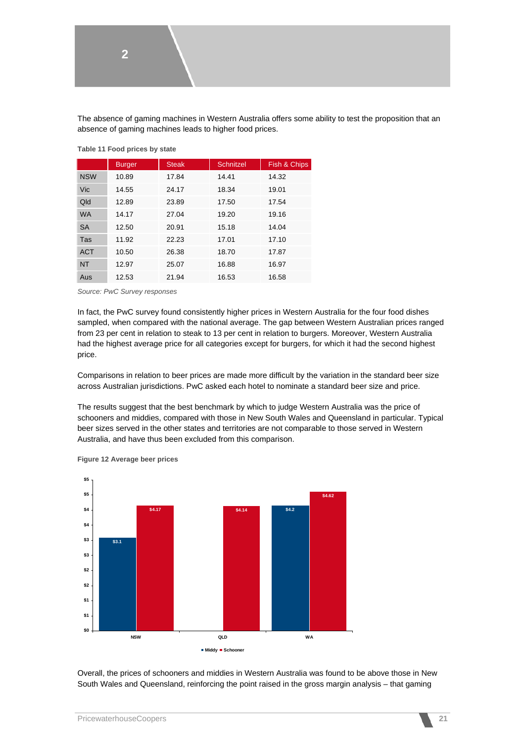

The absence of gaming machines in Western Australia offers some ability to test the proposition that an absence of gaming machines leads to higher food prices.

|            | <b>Burger</b> | <b>Steak</b> | <b>Schnitzel</b> | <b>Fish &amp; Chips</b> |
|------------|---------------|--------------|------------------|-------------------------|
| <b>NSW</b> | 10.89         | 17.84        | 14.41            | 14.32                   |
| Vic        | 14.55         | 24.17        | 18.34            | 19.01                   |
| Qld        | 12.89         | 23.89        | 17.50            | 17.54                   |
| <b>WA</b>  | 14.17         | 27.04        | 19.20            | 19.16                   |
| <b>SA</b>  | 12.50         | 20.91        | 15.18            | 14.04                   |
| Tas        | 11.92         | 22.23        | 17.01            | 17.10                   |
| <b>ACT</b> | 10.50         | 26.38        | 18.70            | 17.87                   |
| <b>NT</b>  | 12.97         | 25.07        | 16.88            | 16.97                   |
| Aus        | 12.53         | 21.94        | 16.53            | 16.58                   |

**Table 11 Food prices by state** 

*Source: PwC Survey responses* 

In fact, the PwC survey found consistently higher prices in Western Australia for the four food dishes sampled, when compared with the national average. The gap between Western Australian prices ranged from 23 per cent in relation to steak to 13 per cent in relation to burgers. Moreover, Western Australia had the highest average price for all categories except for burgers, for which it had the second highest price.

Comparisons in relation to beer prices are made more difficult by the variation in the standard beer size across Australian jurisdictions. PwC asked each hotel to nominate a standard beer size and price.

The results suggest that the best benchmark by which to judge Western Australia was the price of schooners and middies, compared with those in New South Wales and Queensland in particular. Typical beer sizes served in the other states and territories are not comparable to those served in Western Australia, and have thus been excluded from this comparison.



**Figure 12 Average beer prices** 

Overall, the prices of schooners and middies in Western Australia was found to be above those in New South Wales and Queensland, reinforcing the point raised in the gross margin analysis – that gaming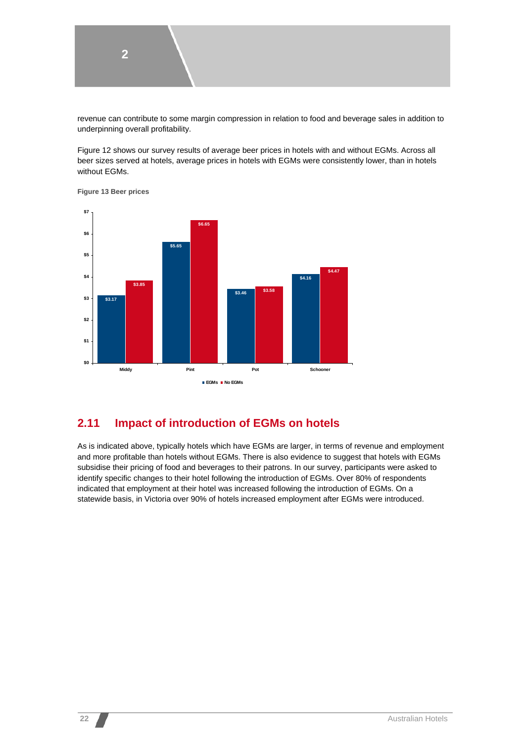

revenue can contribute to some margin compression in relation to food and beverage sales in addition to underpinning overall profitability.

Figure 12 shows our survey results of average beer prices in hotels with and without EGMs. Across all beer sizes served at hotels, average prices in hotels with EGMs were consistently lower, than in hotels without EGMs.



**Figure 13 Beer prices** 

#### **2.11 Impact of introduction of EGMs on hotels**

As is indicated above, typically hotels which have EGMs are larger, in terms of revenue and employment and more profitable than hotels without EGMs. There is also evidence to suggest that hotels with EGMs subsidise their pricing of food and beverages to their patrons. In our survey, participants were asked to identify specific changes to their hotel following the introduction of EGMs. Over 80% of respondents indicated that employment at their hotel was increased following the introduction of EGMs. On a statewide basis, in Victoria over 90% of hotels increased employment after EGMs were introduced.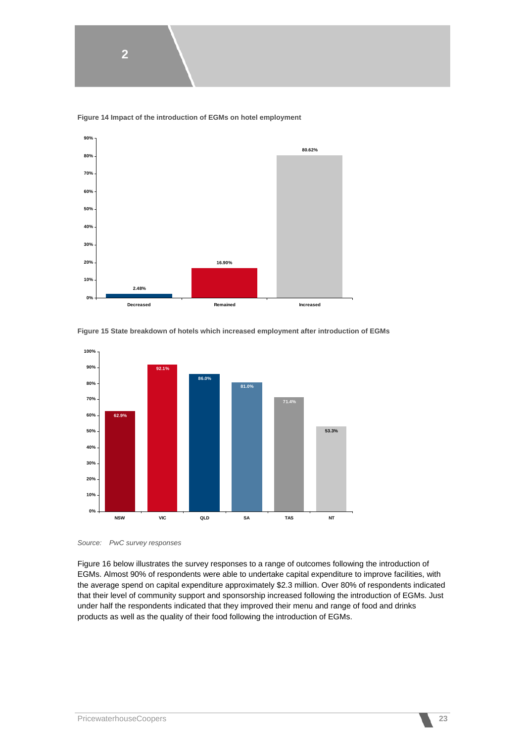



**Figure 14 Impact of the introduction of EGMs on hotel employment** 



**Figure 15 State breakdown of hotels which increased employment after introduction of EGMs** 

*Source: PwC survey responses* 

Figure 16 below illustrates the survey responses to a range of outcomes following the introduction of EGMs. Almost 90% of respondents were able to undertake capital expenditure to improve facilities, with the average spend on capital expenditure approximately \$2.3 million. Over 80% of respondents indicated that their level of community support and sponsorship increased following the introduction of EGMs. Just under half the respondents indicated that they improved their menu and range of food and drinks products as well as the quality of their food following the introduction of EGMs.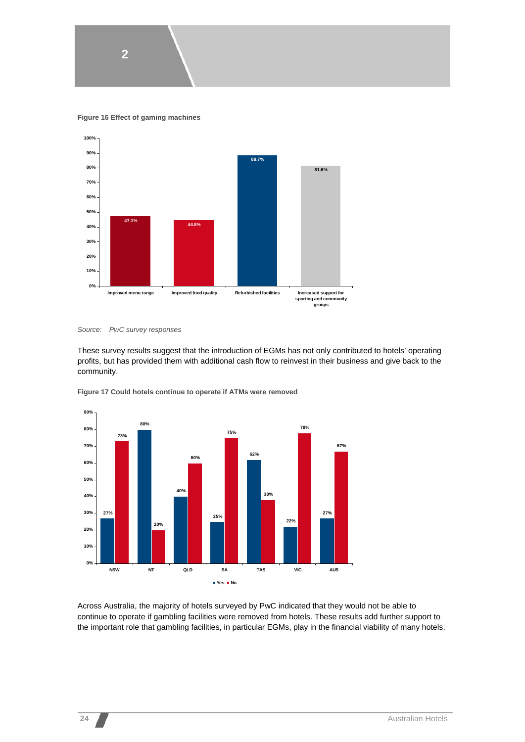

#### **Figure 16 Effect of gaming machines**



*Source: PwC survey responses* 

These survey results suggest that the introduction of EGMs has not only contributed to hotels' operating profits, but has provided them with additional cash flow to reinvest in their business and give back to the community.



**Figure 17 Could hotels continue to operate if ATMs were removed** 

Across Australia, the majority of hotels surveyed by PwC indicated that they would not be able to continue to operate if gambling facilities were removed from hotels. These results add further support to the important role that gambling facilities, in particular EGMs, play in the financial viability of many hotels.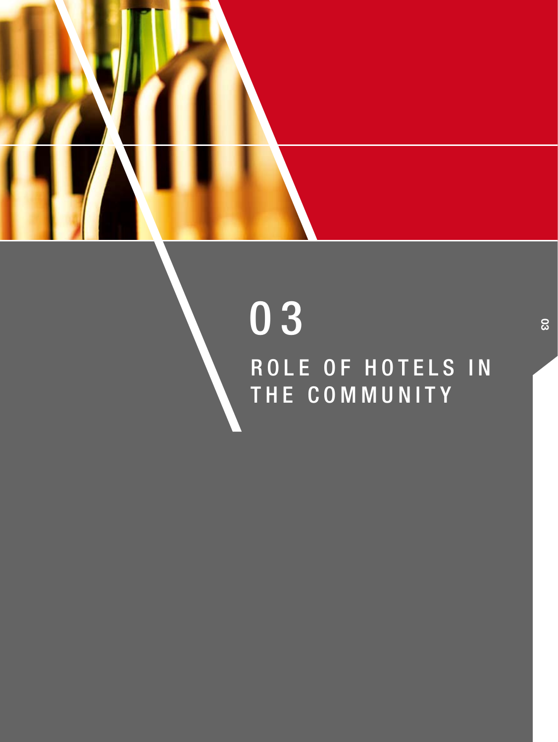

## 03 ROLE OF HOTELS IN THE COMMUNITY

8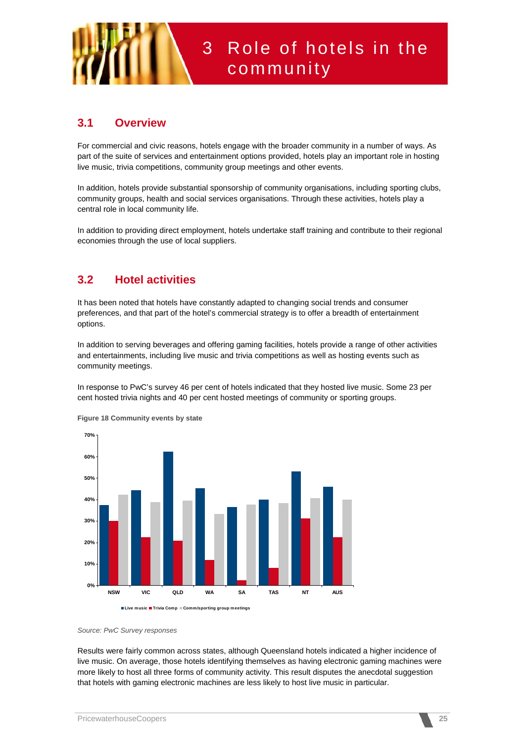

#### **3.1 Overview**

For commercial and civic reasons, hotels engage with the broader community in a number of ways. As part of the suite of services and entertainment options provided, hotels play an important role in hosting live music, trivia competitions, community group meetings and other events.

In addition, hotels provide substantial sponsorship of community organisations, including sporting clubs, community groups, health and social services organisations. Through these activities, hotels play a central role in local community life.

In addition to providing direct employment, hotels undertake staff training and contribute to their regional economies through the use of local suppliers.

### **3.2 Hotel activities**

It has been noted that hotels have constantly adapted to changing social trends and consumer preferences, and that part of the hotel's commercial strategy is to offer a breadth of entertainment options.

In addition to serving beverages and offering gaming facilities, hotels provide a range of other activities and entertainments, including live music and trivia competitions as well as hosting events such as community meetings.

In response to PwC's survey 46 per cent of hotels indicated that they hosted live music. Some 23 per cent hosted trivia nights and 40 per cent hosted meetings of community or sporting groups.



**Figure 18 Community events by state** 

**Live music Trivia Comp Comm/sporting group meetings**

*Source: PwC Survey responses* 

Results were fairly common across states, although Queensland hotels indicated a higher incidence of live music. On average, those hotels identifying themselves as having electronic gaming machines were more likely to host all three forms of community activity. This result disputes the anecdotal suggestion that hotels with gaming electronic machines are less likely to host live music in particular.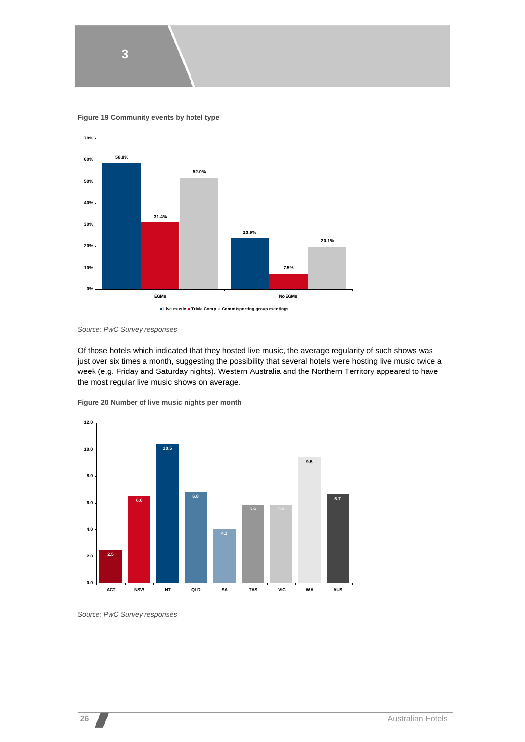

**Figure 19 Community events by hotel type** 





Of those hotels which indicated that they hosted live music, the average regularity of such shows was just over six times a month, suggesting the possibility that several hotels were hosting live music twice a week (e.g. Friday and Saturday nights). Western Australia and the Northern Territory appeared to have the most regular live music shows on average.



**Figure 20 Number of live music nights per month** 

*Source: PwC Survey responses*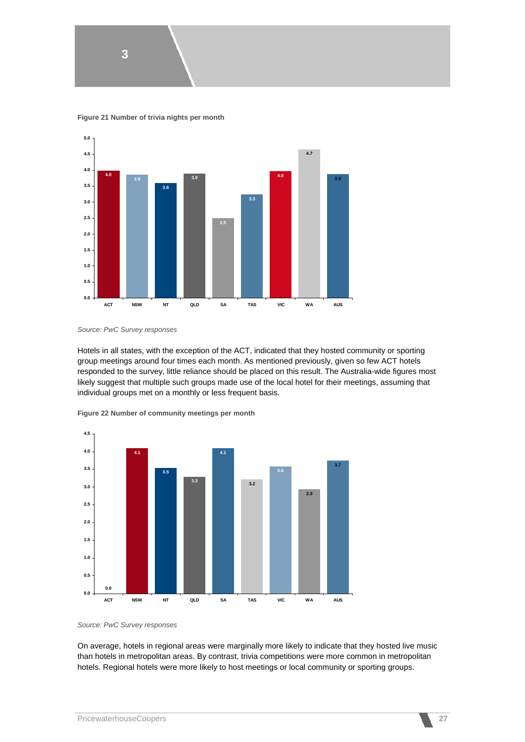

**Figure 21 Number of trivia nights per month** 



Hotels in all states, with the exception of the ACT, indicated that they hosted community or sporting group meetings around four times each month. As mentioned previously, given so few ACT hotels responded to the survey, little reliance should be placed on this result. The Australia-wide figures most likely suggest that multiple such groups made use of the local hotel for their meetings, assuming that individual groups met on a monthly or less frequent basis.



**Figure 22 Number of community meetings per month** 

*Source: PwC Survey responses* 

On average, hotels in regional areas were marginally more likely to indicate that they hosted live music than hotels in metropolitan areas. By contrast, trivia competitions were more common in metropolitan hotels. Regional hotels were more likely to host meetings or local community or sporting groups.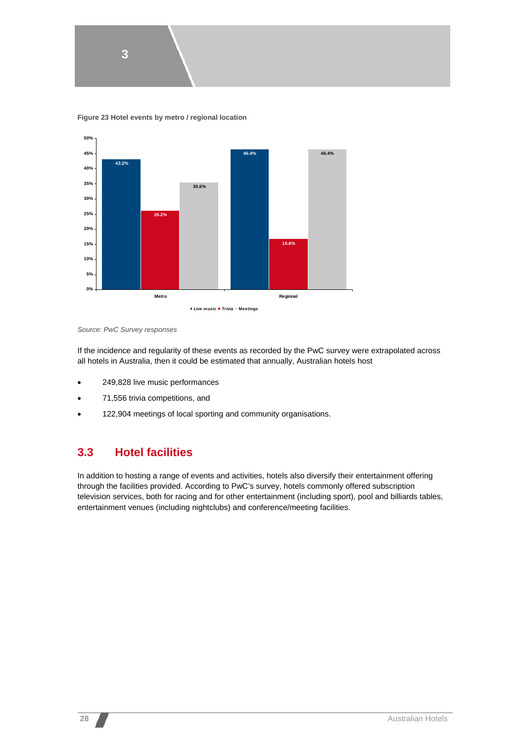

**Figure 23 Hotel events by metro / regional location** 



**Live music Trivia Meetings**

If the incidence and regularity of these events as recorded by the PwC survey were extrapolated across all hotels in Australia, then it could be estimated that annually, Australian hotels host

- 249,828 live music performances
- 71,556 trivia competitions, and
- 122,904 meetings of local sporting and community organisations.

#### **3.3 Hotel facilities**

In addition to hosting a range of events and activities, hotels also diversify their entertainment offering through the facilities provided. According to PwC's survey, hotels commonly offered subscription television services, both for racing and for other entertainment (including sport), pool and billiards tables, entertainment venues (including nightclubs) and conference/meeting facilities.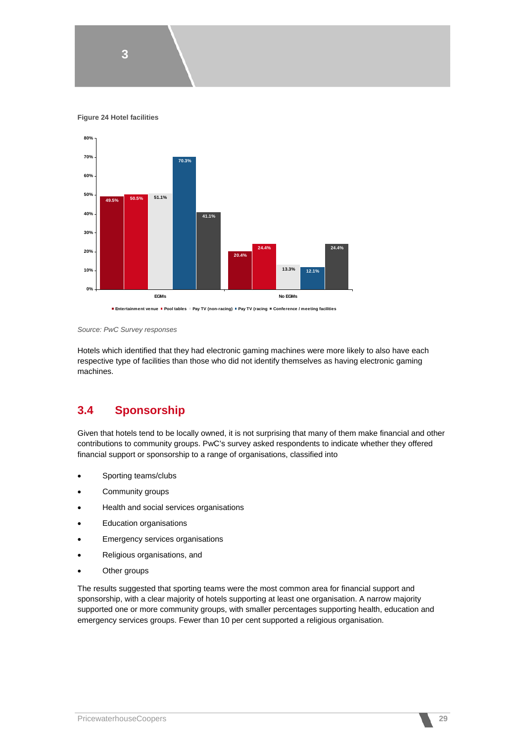

#### **Figure 24 Hotel facilities**





*Source: PwC Survey responses* 

Hotels which identified that they had electronic gaming machines were more likely to also have each respective type of facilities than those who did not identify themselves as having electronic gaming machines.

#### **3.4 Sponsorship**

Given that hotels tend to be locally owned, it is not surprising that many of them make financial and other contributions to community groups. PwC's survey asked respondents to indicate whether they offered financial support or sponsorship to a range of organisations, classified into

- Sporting teams/clubs
- Community groups
- Health and social services organisations
- Education organisations
- Emergency services organisations
- Religious organisations, and
- Other groups

The results suggested that sporting teams were the most common area for financial support and sponsorship, with a clear majority of hotels supporting at least one organisation. A narrow majority supported one or more community groups, with smaller percentages supporting health, education and emergency services groups. Fewer than 10 per cent supported a religious organisation.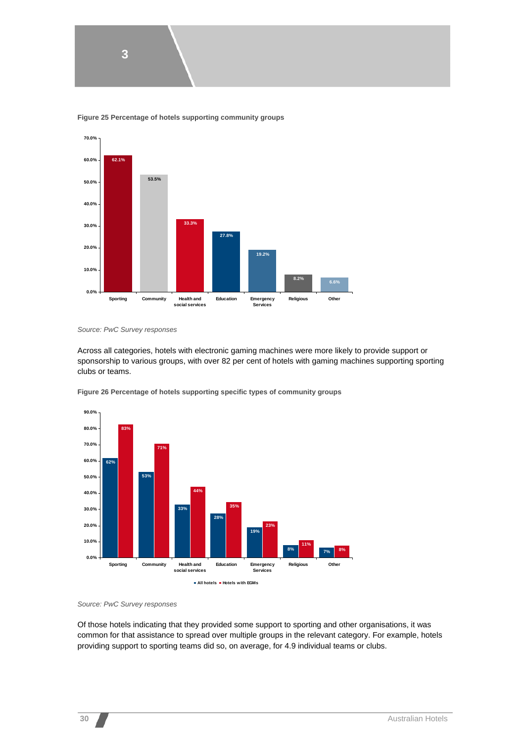



**Figure 25 Percentage of hotels supporting community groups** 

*Source: PwC Survey responses* 

Across all categories, hotels with electronic gaming machines were more likely to provide support or sponsorship to various groups, with over 82 per cent of hotels with gaming machines supporting sporting clubs or teams.



**Figure 26 Percentage of hotels supporting specific types of community groups** 

*Source: PwC Survey responses* 

Of those hotels indicating that they provided some support to sporting and other organisations, it was common for that assistance to spread over multiple groups in the relevant category. For example, hotels providing support to sporting teams did so, on average, for 4.9 individual teams or clubs.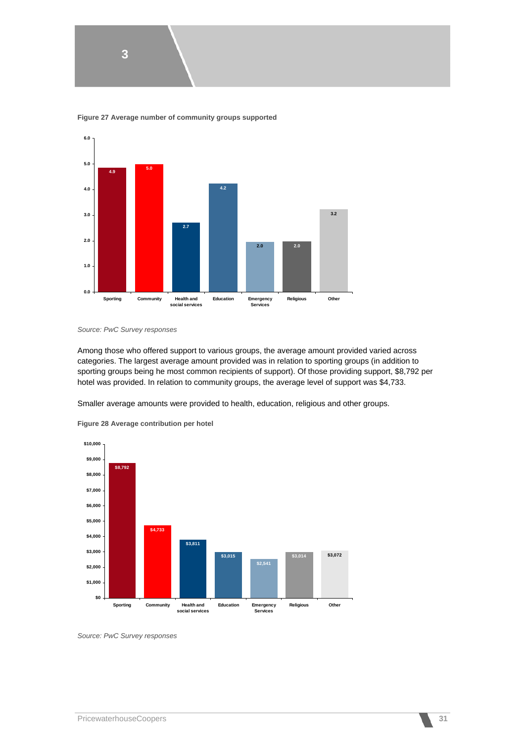



Among those who offered support to various groups, the average amount provided varied across categories. The largest average amount provided was in relation to sporting groups (in addition to sporting groups being he most common recipients of support). Of those providing support, \$8,792 per hotel was provided. In relation to community groups, the average level of support was \$4,733.

Smaller average amounts were provided to health, education, religious and other groups.



**Figure 28 Average contribution per hotel** 

*Source: PwC Survey responses*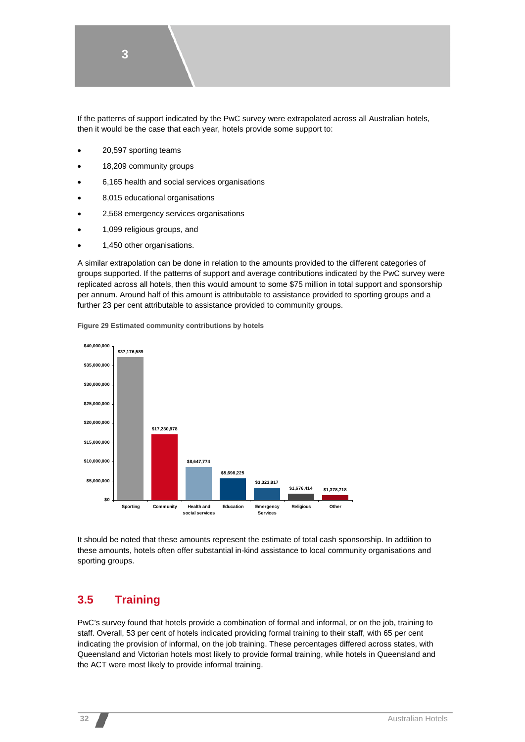

If the patterns of support indicated by the PwC survey were extrapolated across all Australian hotels, then it would be the case that each year, hotels provide some support to:

- 20,597 sporting teams
- 18,209 community groups
- 6,165 health and social services organisations
- 8,015 educational organisations
- 2,568 emergency services organisations
- 1,099 religious groups, and
- 1,450 other organisations.

A similar extrapolation can be done in relation to the amounts provided to the different categories of groups supported. If the patterns of support and average contributions indicated by the PwC survey were replicated across all hotels, then this would amount to some \$75 million in total support and sponsorship per annum. Around half of this amount is attributable to assistance provided to sporting groups and a further 23 per cent attributable to assistance provided to community groups.



**Figure 29 Estimated community contributions by hotels** 

It should be noted that these amounts represent the estimate of total cash sponsorship. In addition to these amounts, hotels often offer substantial in-kind assistance to local community organisations and sporting groups.

#### **3.5 Training**

PwC's survey found that hotels provide a combination of formal and informal, or on the job, training to staff. Overall, 53 per cent of hotels indicated providing formal training to their staff, with 65 per cent indicating the provision of informal, on the job training. These percentages differed across states, with Queensland and Victorian hotels most likely to provide formal training, while hotels in Queensland and the ACT were most likely to provide informal training.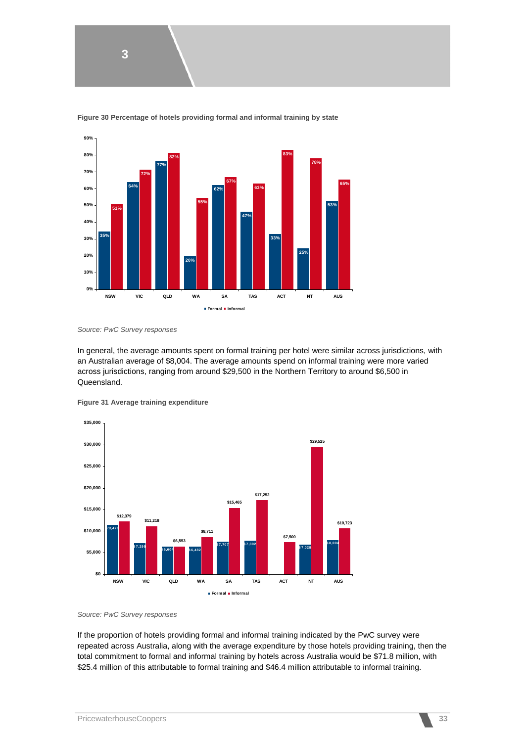

**Figure 30 Percentage of hotels providing formal and informal training by state** 

*Source: PwC Survey responses* 

**3**

In general, the average amounts spent on formal training per hotel were similar across jurisdictions, with an Australian average of \$8,004. The average amounts spend on informal training were more varied across jurisdictions, ranging from around \$29,500 in the Northern Territory to around \$6,500 in Queensland.





*Source: PwC Survey responses* 

If the proportion of hotels providing formal and informal training indicated by the PwC survey were repeated across Australia, along with the average expenditure by those hotels providing training, then the total commitment to formal and informal training by hotels across Australia would be \$71.8 million, with \$25.4 million of this attributable to formal training and \$46.4 million attributable to informal training.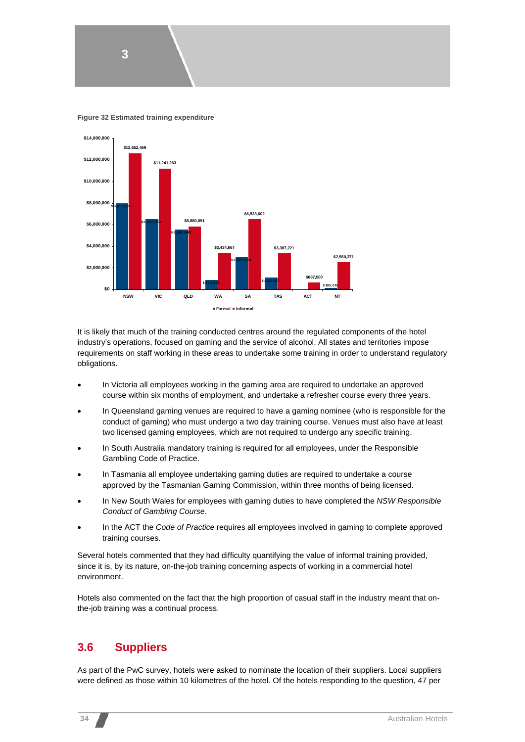

**Figure 32 Estimated training expenditure** 



It is likely that much of the training conducted centres around the regulated components of the hotel industry's operations, focused on gaming and the service of alcohol. All states and territories impose requirements on staff working in these areas to undertake some training in order to understand regulatory obligations.

- In Victoria all employees working in the gaming area are required to undertake an approved course within six months of employment, and undertake a refresher course every three years.
- In Queensland gaming venues are required to have a gaming nominee (who is responsible for the conduct of gaming) who must undergo a two day training course. Venues must also have at least two licensed gaming employees, which are not required to undergo any specific training.
- In South Australia mandatory training is required for all employees, under the Responsible Gambling Code of Practice.
- In Tasmania all employee undertaking gaming duties are required to undertake a course approved by the Tasmanian Gaming Commission, within three months of being licensed.
- In New South Wales for employees with gaming duties to have completed the *NSW Responsible Conduct of Gambling Course*.
- In the ACT the *Code of Practice* requires all employees involved in gaming to complete approved training courses.

Several hotels commented that they had difficulty quantifying the value of informal training provided, since it is, by its nature, on-the-job training concerning aspects of working in a commercial hotel environment.

Hotels also commented on the fact that the high proportion of casual staff in the industry meant that onthe-job training was a continual process.

#### **3.6 Suppliers**

As part of the PwC survey, hotels were asked to nominate the location of their suppliers. Local suppliers were defined as those within 10 kilometres of the hotel. Of the hotels responding to the question, 47 per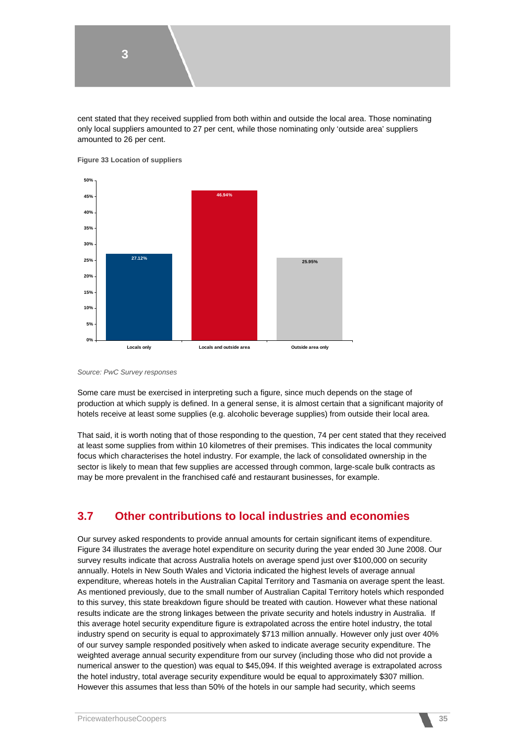

cent stated that they received supplied from both within and outside the local area. Those nominating only local suppliers amounted to 27 per cent, while those nominating only 'outside area' suppliers amounted to 26 per cent.



**Figure 33 Location of suppliers** 

*Source: PwC Survey responses* 

Some care must be exercised in interpreting such a figure, since much depends on the stage of production at which supply is defined. In a general sense, it is almost certain that a significant majority of hotels receive at least some supplies (e.g. alcoholic beverage supplies) from outside their local area.

That said, it is worth noting that of those responding to the question, 74 per cent stated that they received at least some supplies from within 10 kilometres of their premises. This indicates the local community focus which characterises the hotel industry. For example, the lack of consolidated ownership in the sector is likely to mean that few supplies are accessed through common, large-scale bulk contracts as may be more prevalent in the franchised café and restaurant businesses, for example.

#### **3.7 Other contributions to local industries and economies**

Our survey asked respondents to provide annual amounts for certain significant items of expenditure. Figure 34 illustrates the average hotel expenditure on security during the year ended 30 June 2008. Our survey results indicate that across Australia hotels on average spend just over \$100,000 on security annually. Hotels in New South Wales and Victoria indicated the highest levels of average annual expenditure, whereas hotels in the Australian Capital Territory and Tasmania on average spent the least. As mentioned previously, due to the small number of Australian Capital Territory hotels which responded to this survey, this state breakdown figure should be treated with caution. However what these national results indicate are the strong linkages between the private security and hotels industry in Australia. If this average hotel security expenditure figure is extrapolated across the entire hotel industry, the total industry spend on security is equal to approximately \$713 million annually. However only just over 40% of our survey sample responded positively when asked to indicate average security expenditure. The weighted average annual security expenditure from our survey (including those who did not provide a numerical answer to the question) was equal to \$45,094. If this weighted average is extrapolated across the hotel industry, total average security expenditure would be equal to approximately \$307 million. However this assumes that less than 50% of the hotels in our sample had security, which seems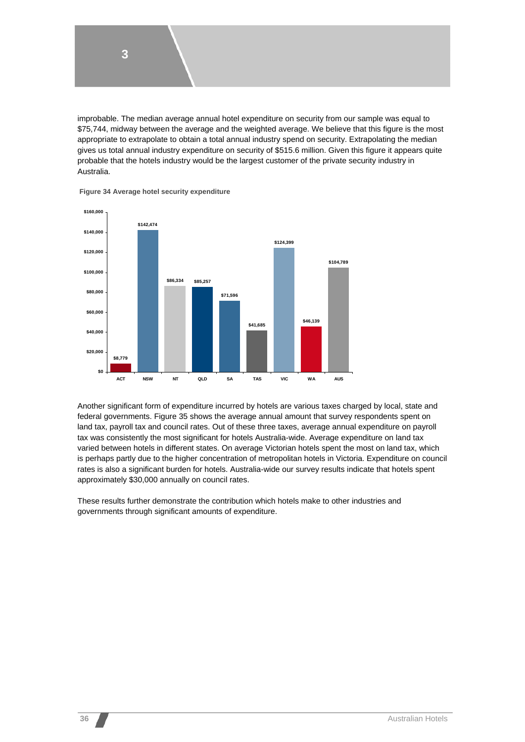

improbable. The median average annual hotel expenditure on security from our sample was equal to \$75,744, midway between the average and the weighted average. We believe that this figure is the most appropriate to extrapolate to obtain a total annual industry spend on security. Extrapolating the median gives us total annual industry expenditure on security of \$515.6 million. Given this figure it appears quite probable that the hotels industry would be the largest customer of the private security industry in Australia.



 **Figure 34 Average hotel security expenditure** 

Another significant form of expenditure incurred by hotels are various taxes charged by local, state and federal governments. Figure 35 shows the average annual amount that survey respondents spent on land tax, payroll tax and council rates. Out of these three taxes, average annual expenditure on payroll tax was consistently the most significant for hotels Australia-wide. Average expenditure on land tax varied between hotels in different states. On average Victorian hotels spent the most on land tax, which is perhaps partly due to the higher concentration of metropolitan hotels in Victoria. Expenditure on council rates is also a significant burden for hotels. Australia-wide our survey results indicate that hotels spent approximately \$30,000 annually on council rates.

These results further demonstrate the contribution which hotels make to other industries and governments through significant amounts of expenditure.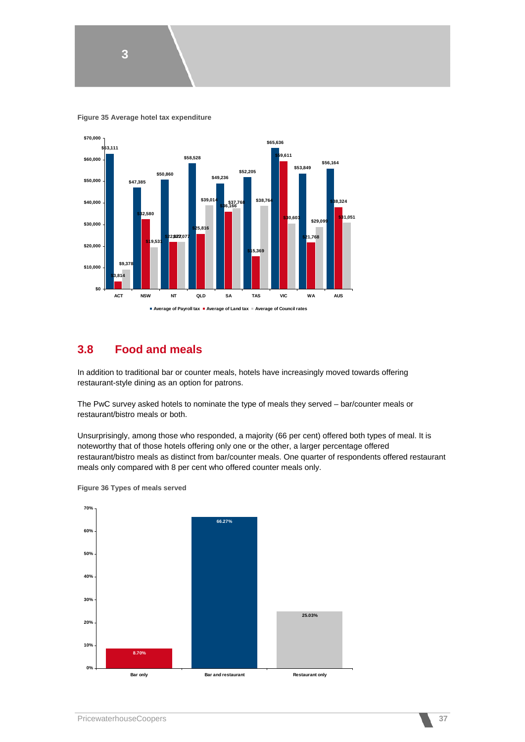

**Figure 35 Average hotel tax expenditure** 



#### **3.8 Food and meals**

In addition to traditional bar or counter meals, hotels have increasingly moved towards offering restaurant-style dining as an option for patrons.

The PwC survey asked hotels to nominate the type of meals they served – bar/counter meals or restaurant/bistro meals or both.

Unsurprisingly, among those who responded, a majority (66 per cent) offered both types of meal. It is noteworthy that of those hotels offering only one or the other, a larger percentage offered restaurant/bistro meals as distinct from bar/counter meals. One quarter of respondents offered restaurant meals only compared with 8 per cent who offered counter meals only.



**Figure 36 Types of meals served**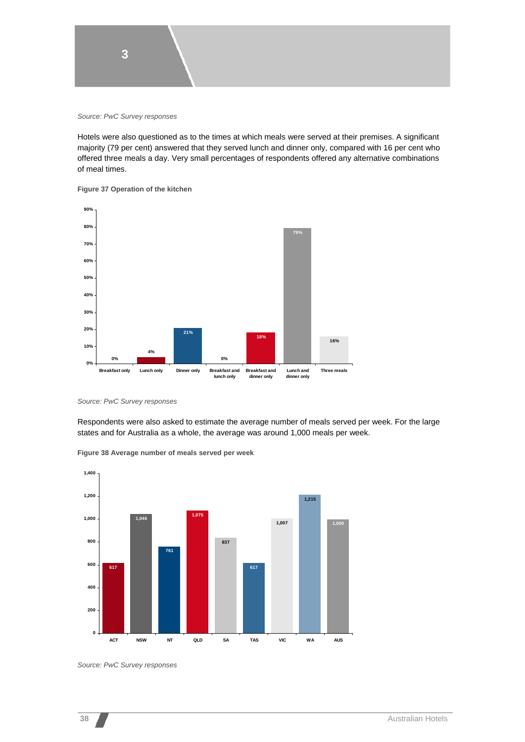

*Source: PwC Survey responses* 

Hotels were also questioned as to the times at which meals were served at their premises. A significant majority (79 per cent) answered that they served lunch and dinner only, compared with 16 per cent who offered three meals a day. Very small percentages of respondents offered any alternative combinations of meal times.



**Figure 37 Operation of the kitchen** 

*Source: PwC Survey responses* 

Respondents were also asked to estimate the average number of meals served per week. For the large states and for Australia as a whole, the average was around 1,000 meals per week.



**Figure 38 Average number of meals served per week** 

*Source: PwC Survey responses*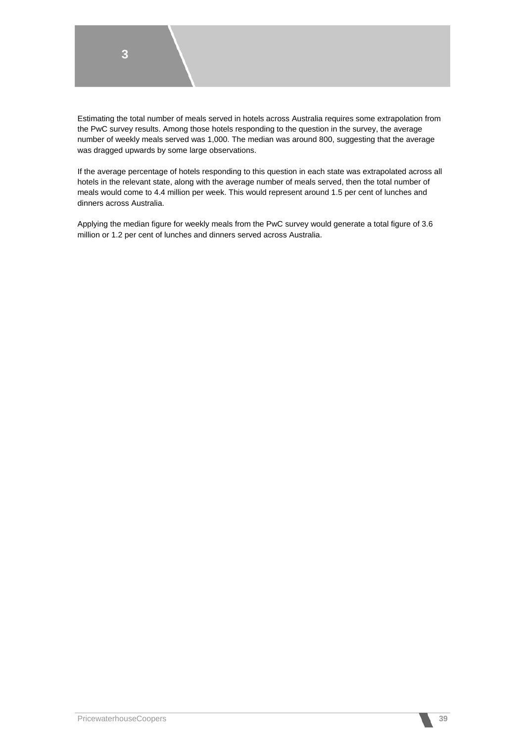

Estimating the total number of meals served in hotels across Australia requires some extrapolation from the PwC survey results. Among those hotels responding to the question in the survey, the average number of weekly meals served was 1,000. The median was around 800, suggesting that the average was dragged upwards by some large observations.

If the average percentage of hotels responding to this question in each state was extrapolated across all hotels in the relevant state, along with the average number of meals served, then the total number of meals would come to 4.4 million per week. This would represent around 1.5 per cent of lunches and dinners across Australia.

Applying the median figure for weekly meals from the PwC survey would generate a total figure of 3.6 million or 1.2 per cent of lunches and dinners served across Australia.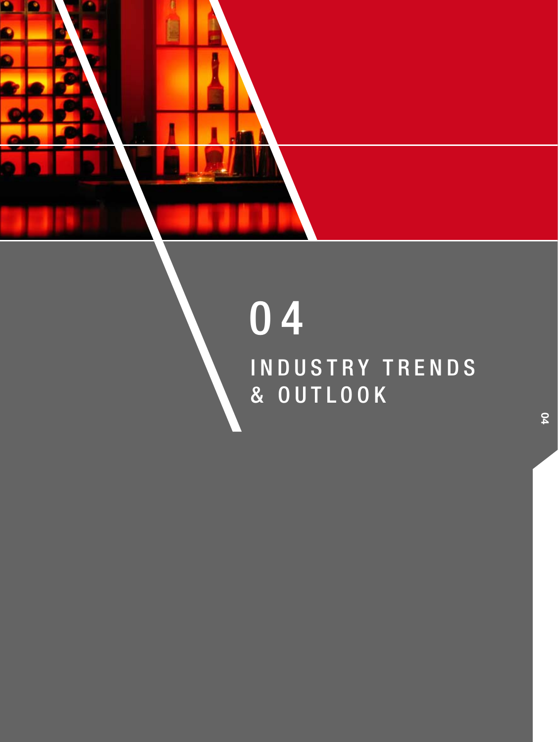

## 04 INDUSTRY TRENDS & OUTLOOK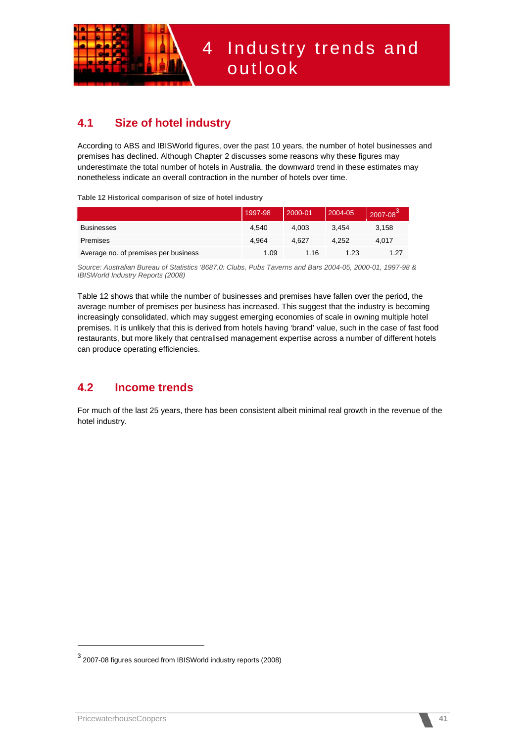

### **4.1 Size of hotel industry**

According to ABS and IBISWorld figures, over the past 10 years, the number of hotel businesses and premises has declined. Although Chapter 2 discusses some reasons why these figures may underestimate the total number of hotels in Australia, the downward trend in these estimates may nonetheless indicate an overall contraction in the number of hotels over time.

**Table 12 Historical comparison of size of hotel industry** 

|                                      | 1997-98 | 2000-01 | 2004-05 | $2007 - 08$ |
|--------------------------------------|---------|---------|---------|-------------|
| <b>Businesses</b>                    | 4.540   | 4.003   | 3.454   | 3.158       |
| Premises                             | 4.964   | 4.627   | 4.252   | 4.017       |
| Average no. of premises per business | 1.09    | 1.16    | 1.23    | 1.27        |

*Source: Australian Bureau of Statistics '8687.0: Clubs, Pubs Taverns and Bars 2004-05, 2000-01, 1997-98 & IBISWorld Industry Reports (2008)* 

Table 12 shows that while the number of businesses and premises have fallen over the period, the average number of premises per business has increased. This suggest that the industry is becoming increasingly consolidated, which may suggest emerging economies of scale in owning multiple hotel premises. It is unlikely that this is derived from hotels having 'brand' value, such in the case of fast food restaurants, but more likely that centralised management expertise across a number of different hotels can produce operating efficiencies.

### **4.2 Income trends**

For much of the last 25 years, there has been consistent albeit minimal real growth in the revenue of the hotel industry.

 $\overline{a}$ 

 $3$  2007-08 figures sourced from IBISWorld industry reports (2008)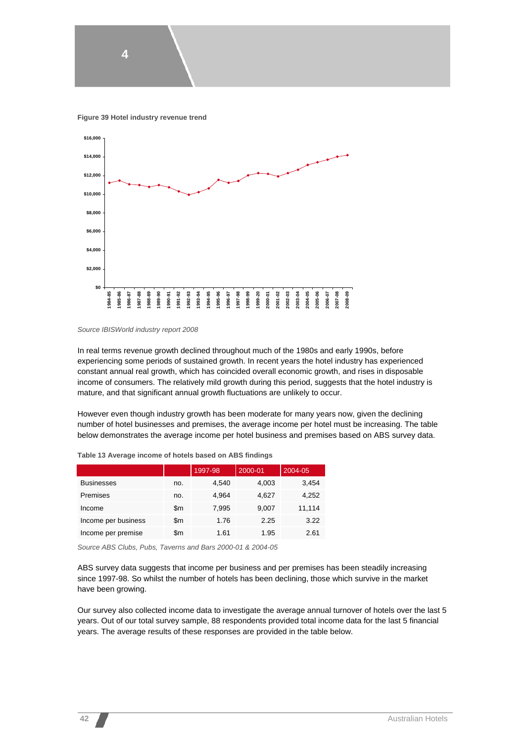





*Source IBISWorld industry report 2008* 

In real terms revenue growth declined throughout much of the 1980s and early 1990s, before experiencing some periods of sustained growth. In recent years the hotel industry has experienced constant annual real growth, which has coincided overall economic growth, and rises in disposable income of consumers. The relatively mild growth during this period, suggests that the hotel industry is mature, and that significant annual growth fluctuations are unlikely to occur.

However even though industry growth has been moderate for many years now, given the declining number of hotel businesses and premises, the average income per hotel must be increasing. The table below demonstrates the average income per hotel business and premises based on ABS survey data.

| Table 13 Average income of notels based on ABS findings |     |         |         |         |
|---------------------------------------------------------|-----|---------|---------|---------|
|                                                         |     | 1997-98 | 2000-01 | 2004-05 |
| <b>Businesses</b>                                       | no. | 4,540   | 4,003   | 3,454   |
| Premises                                                | no. | 4,964   | 4.627   | 4.252   |
| Income                                                  | \$m | 7,995   | 9,007   | 11.114  |
| Income per business                                     | \$m | 1.76    | 2.25    | 3.22    |

Income per premise \$m 1.61 1.95 2.61

**Table 13 Average income of hotels based on ABS findings** 

*Source ABS Clubs, Pubs, Taverns and Bars 2000-01 & 2004-05* 

ABS survey data suggests that income per business and per premises has been steadily increasing since 1997-98. So whilst the number of hotels has been declining, those which survive in the market have been growing.

Our survey also collected income data to investigate the average annual turnover of hotels over the last 5 years. Out of our total survey sample, 88 respondents provided total income data for the last 5 financial years. The average results of these responses are provided in the table below.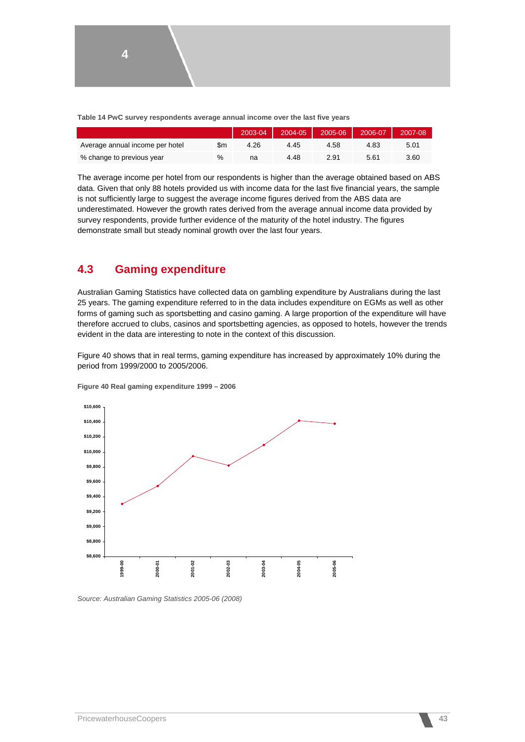**Table 14 PwC survey respondents average annual income over the last five years** 

|                                 |      | 2003-04 | 2004-05 | 2005-06 | 2006-07 | 2007-08 |
|---------------------------------|------|---------|---------|---------|---------|---------|
| Average annual income per hotel | \$m  | 4.26    | 4.45    | 4.58    | 4.83    | 5.01    |
| % change to previous year       | $\%$ | na      | 4.48    | 2.91    | 5.61    | 3.60    |

The average income per hotel from our respondents is higher than the average obtained based on ABS data. Given that only 88 hotels provided us with income data for the last five financial years, the sample is not sufficiently large to suggest the average income figures derived from the ABS data are underestimated. However the growth rates derived from the average annual income data provided by survey respondents, provide further evidence of the maturity of the hotel industry. The figures demonstrate small but steady nominal growth over the last four years.

#### **4.3 Gaming expenditure**

Australian Gaming Statistics have collected data on gambling expenditure by Australians during the last 25 years. The gaming expenditure referred to in the data includes expenditure on EGMs as well as other forms of gaming such as sportsbetting and casino gaming. A large proportion of the expenditure will have therefore accrued to clubs, casinos and sportsbetting agencies, as opposed to hotels, however the trends evident in the data are interesting to note in the context of this discussion.

Figure 40 shows that in real terms, gaming expenditure has increased by approximately 10% during the period from 1999/2000 to 2005/2006.



**Figure 40 Real gaming expenditure 1999 – 2006** 

*Source: Australian Gaming Statistics 2005-06 (2008)*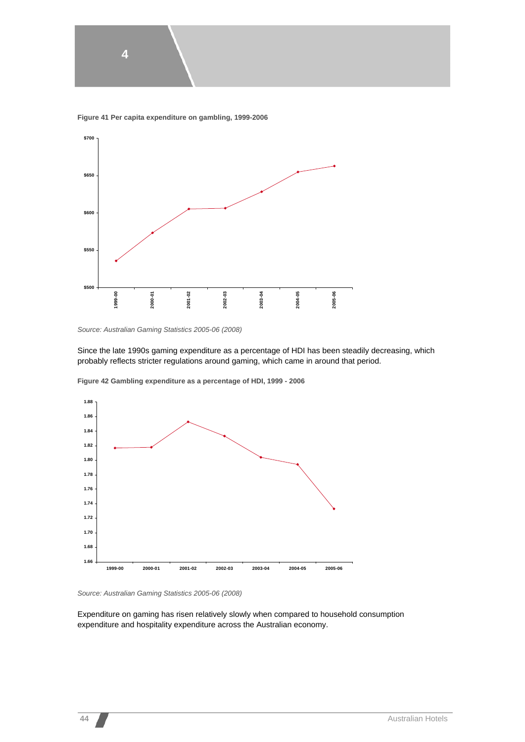

**4** 

*Source: Australian Gaming Statistics 2005-06 (2008)* 

Since the late 1990s gaming expenditure as a percentage of HDI has been steadily decreasing, which probably reflects stricter regulations around gaming, which came in around that period.



**Figure 42 Gambling expenditure as a percentage of HDI, 1999 - 2006** 

*Source: Australian Gaming Statistics 2005-06 (2008)* 

Expenditure on gaming has risen relatively slowly when compared to household consumption expenditure and hospitality expenditure across the Australian economy.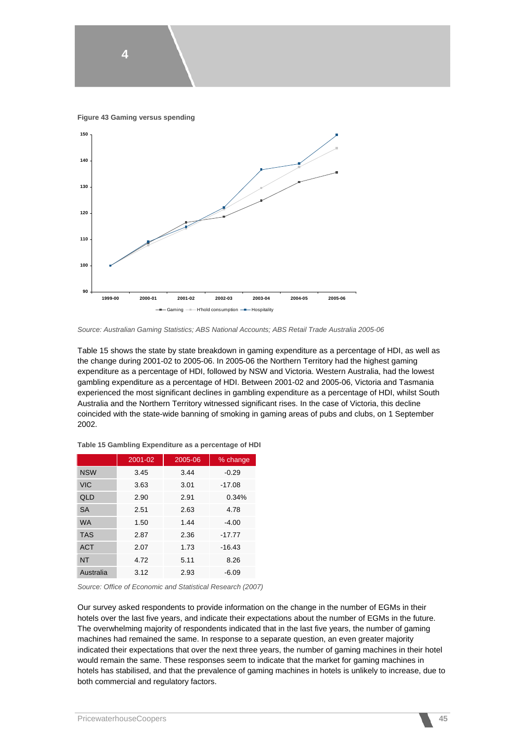

**Figure 43 Gaming versus spending** 



*Source: Australian Gaming Statistics; ABS National Accounts; ABS Retail Trade Australia 2005-06* 

Table 15 shows the state by state breakdown in gaming expenditure as a percentage of HDI, as well as the change during 2001-02 to 2005-06. In 2005-06 the Northern Territory had the highest gaming expenditure as a percentage of HDI, followed by NSW and Victoria. Western Australia, had the lowest gambling expenditure as a percentage of HDI. Between 2001-02 and 2005-06, Victoria and Tasmania experienced the most significant declines in gambling expenditure as a percentage of HDI, whilst South Australia and the Northern Territory witnessed significant rises. In the case of Victoria, this decline coincided with the state-wide banning of smoking in gaming areas of pubs and clubs, on 1 September 2002.

|            | 2001-02 | 2005-06 | % change |
|------------|---------|---------|----------|
| <b>NSW</b> | 3.45    | 3.44    | $-0.29$  |
| <b>VIC</b> | 3.63    | 3.01    | $-17.08$ |
| <b>QLD</b> | 2.90    | 2.91    | 0.34%    |
| <b>SA</b>  | 2.51    | 2.63    | 4.78     |
| <b>WA</b>  | 1.50    | 1.44    | $-4.00$  |
| <b>TAS</b> | 2.87    | 2.36    | $-17.77$ |
| <b>ACT</b> | 2.07    | 1.73    | $-16.43$ |
| <b>NT</b>  | 4.72    | 5.11    | 8.26     |
| Australia  | 3.12    | 2.93    | $-6.09$  |

**Table 15 Gambling Expenditure as a percentage of HDI** 

*Source: Office of Economic and Statistical Research (2007)* 

Our survey asked respondents to provide information on the change in the number of EGMs in their hotels over the last five years, and indicate their expectations about the number of EGMs in the future. The overwhelming majority of respondents indicated that in the last five years, the number of gaming machines had remained the same. In response to a separate question, an even greater majority indicated their expectations that over the next three years, the number of gaming machines in their hotel would remain the same. These responses seem to indicate that the market for gaming machines in hotels has stabilised, and that the prevalence of gaming machines in hotels is unlikely to increase, due to both commercial and regulatory factors.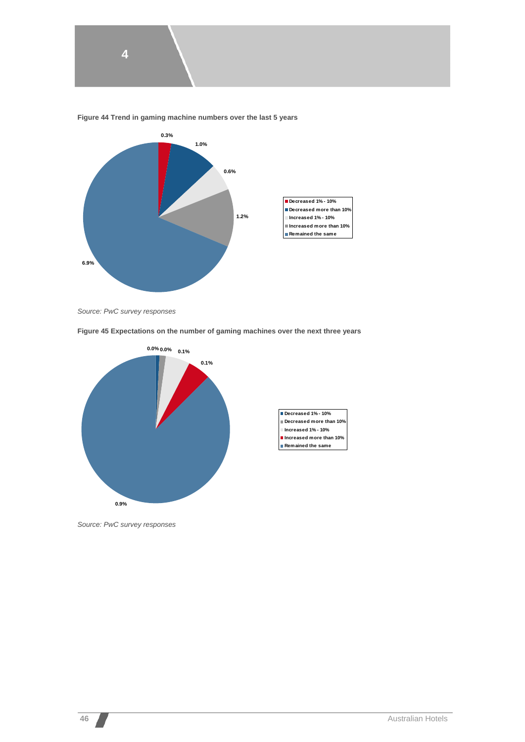



**Figure 44 Trend in gaming machine numbers over the last 5 years** 

**Figure 45 Expectations on the number of gaming machines over the next three years** 





*Source: PwC survey responses* 

*Source: PwC survey responses*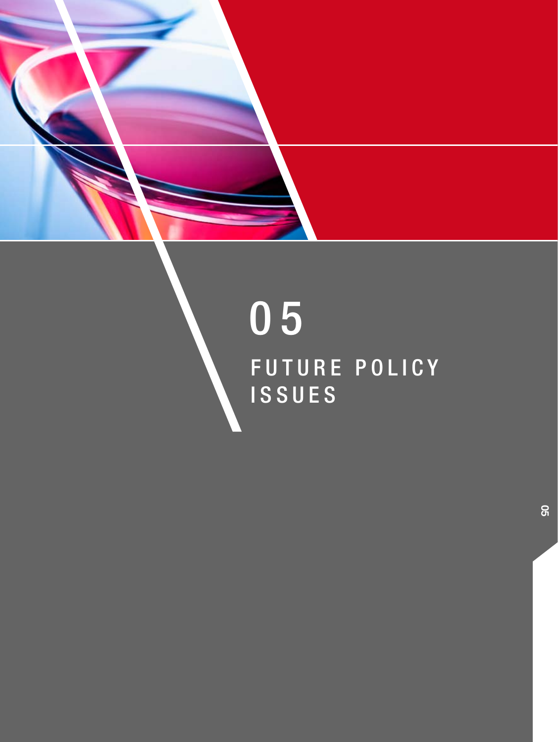

# 05 FUTURE POLICY ISSUES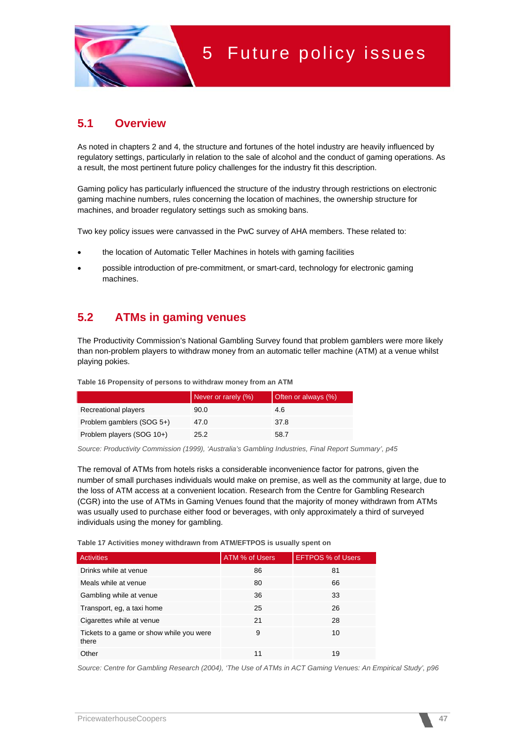

#### **5.1 Overview**

As noted in chapters 2 and 4, the structure and fortunes of the hotel industry are heavily influenced by regulatory settings, particularly in relation to the sale of alcohol and the conduct of gaming operations. As a result, the most pertinent future policy challenges for the industry fit this description.

Gaming policy has particularly influenced the structure of the industry through restrictions on electronic gaming machine numbers, rules concerning the location of machines, the ownership structure for machines, and broader regulatory settings such as smoking bans.

Two key policy issues were canvassed in the PwC survey of AHA members. These related to:

- the location of Automatic Teller Machines in hotels with gaming facilities
- possible introduction of pre-commitment, or smart-card, technology for electronic gaming machines.

### **5.2 ATMs in gaming venues**

The Productivity Commission's National Gambling Survey found that problem gamblers were more likely than non-problem players to withdraw money from an automatic teller machine (ATM) at a venue whilst playing pokies.

**Table 16 Propensity of persons to withdraw money from an ATM** 

|                           | Never or rarely (%) | Often or always (%) |
|---------------------------|---------------------|---------------------|
| Recreational players      | 90.0                | 4.6                 |
| Problem gamblers (SOG 5+) | 47.0                | 37.8                |
| Problem players (SOG 10+) | 25.2                | 58.7                |

*Source: Productivity Commission (1999), 'Australia's Gambling Industries, Final Report Summary', p45* 

The removal of ATMs from hotels risks a considerable inconvenience factor for patrons, given the number of small purchases individuals would make on premise, as well as the community at large, due to the loss of ATM access at a convenient location. Research from the Centre for Gambling Research (CGR) into the use of ATMs in Gaming Venues found that the majority of money withdrawn from ATMs was usually used to purchase either food or beverages, with only approximately a third of surveyed individuals using the money for gambling.

**Table 17 Activities money withdrawn from ATM/EFTPOS is usually spent on** 

| <b>Activities</b>                                 | ATM % of Users | <b>EFTPOS % of Users</b> |
|---------------------------------------------------|----------------|--------------------------|
| Drinks while at venue                             | 86             | 81                       |
| Meals while at venue                              | 80             | 66                       |
| Gambling while at venue                           | 36             | 33                       |
| Transport, eg, a taxi home                        | 25             | 26                       |
| Cigarettes while at venue                         | 21             | 28                       |
| Tickets to a game or show while you were<br>there | 9              | 10                       |
| Other                                             | 11             | 19                       |

*Source: Centre for Gambling Research (2004), 'The Use of ATMs in ACT Gaming Venues: An Empirical Study', p96*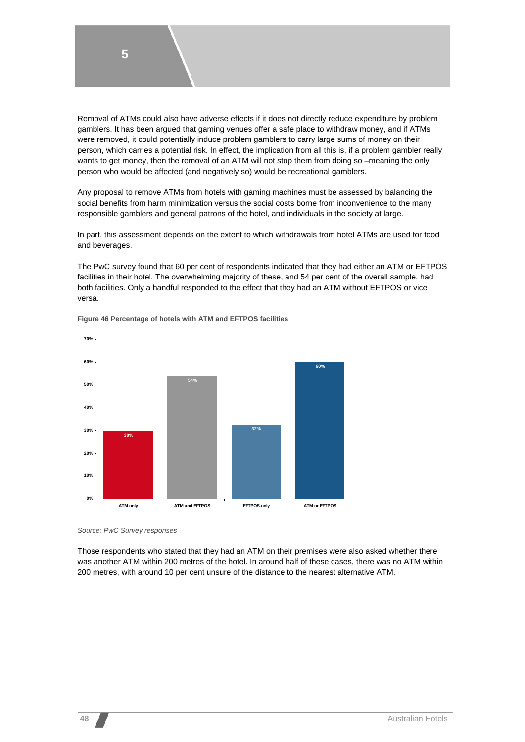

Removal of ATMs could also have adverse effects if it does not directly reduce expenditure by problem gamblers. It has been argued that gaming venues offer a safe place to withdraw money, and if ATMs were removed, it could potentially induce problem gamblers to carry large sums of money on their person, which carries a potential risk. In effect, the implication from all this is, if a problem gambler really wants to get money, then the removal of an ATM will not stop them from doing so –meaning the only person who would be affected (and negatively so) would be recreational gamblers.

Any proposal to remove ATMs from hotels with gaming machines must be assessed by balancing the social benefits from harm minimization versus the social costs borne from inconvenience to the many responsible gamblers and general patrons of the hotel, and individuals in the society at large.

In part, this assessment depends on the extent to which withdrawals from hotel ATMs are used for food and beverages.

The PwC survey found that 60 per cent of respondents indicated that they had either an ATM or EFTPOS facilities in their hotel. The overwhelming majority of these, and 54 per cent of the overall sample, had both facilities. Only a handful responded to the effect that they had an ATM without EFTPOS or vice versa.



**Figure 46 Percentage of hotels with ATM and EFTPOS facilities** 

*Source: PwC Survey responses* 

Those respondents who stated that they had an ATM on their premises were also asked whether there was another ATM within 200 metres of the hotel. In around half of these cases, there was no ATM within 200 metres, with around 10 per cent unsure of the distance to the nearest alternative ATM.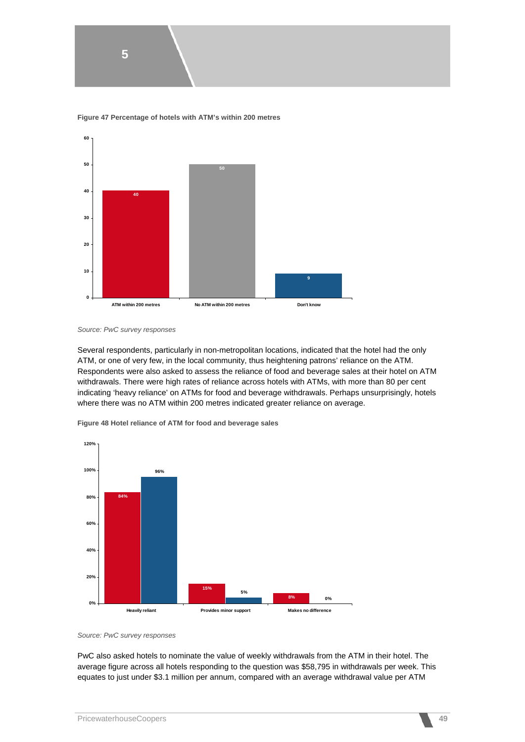



**Figure 47 Percentage of hotels with ATM's within 200 metres** 

Several respondents, particularly in non-metropolitan locations, indicated that the hotel had the only ATM, or one of very few, in the local community, thus heightening patrons' reliance on the ATM. Respondents were also asked to assess the reliance of food and beverage sales at their hotel on ATM withdrawals. There were high rates of reliance across hotels with ATMs, with more than 80 per cent indicating 'heavy reliance' on ATMs for food and beverage withdrawals. Perhaps unsurprisingly, hotels where there was no ATM within 200 metres indicated greater reliance on average.



**Figure 48 Hotel reliance of ATM for food and beverage sales** 

*Source: PwC survey responses* 

PwC also asked hotels to nominate the value of weekly withdrawals from the ATM in their hotel. The average figure across all hotels responding to the question was \$58,795 in withdrawals per week. This equates to just under \$3.1 million per annum, compared with an average withdrawal value per ATM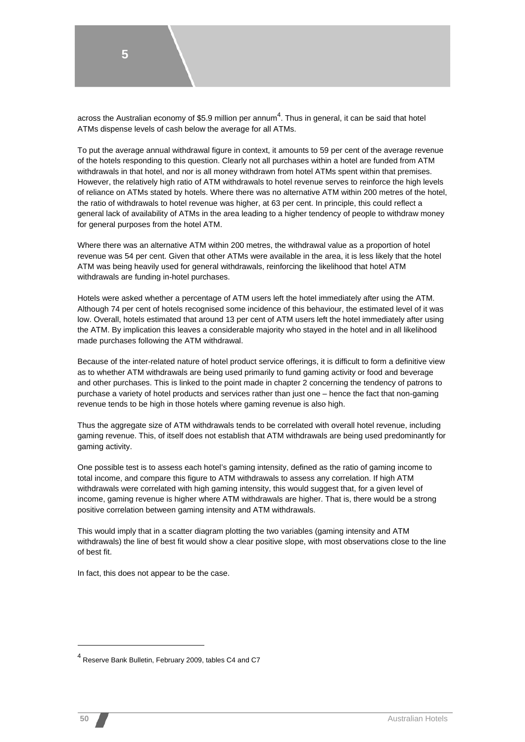

across the Australian economy of \$5.9 million per annum<sup>4</sup>. Thus in general, it can be said that hotel ATMs dispense levels of cash below the average for all ATMs.

To put the average annual withdrawal figure in context, it amounts to 59 per cent of the average revenue of the hotels responding to this question. Clearly not all purchases within a hotel are funded from ATM withdrawals in that hotel, and nor is all money withdrawn from hotel ATMs spent within that premises. However, the relatively high ratio of ATM withdrawals to hotel revenue serves to reinforce the high levels of reliance on ATMs stated by hotels. Where there was no alternative ATM within 200 metres of the hotel, the ratio of withdrawals to hotel revenue was higher, at 63 per cent. In principle, this could reflect a general lack of availability of ATMs in the area leading to a higher tendency of people to withdraw money for general purposes from the hotel ATM.

Where there was an alternative ATM within 200 metres, the withdrawal value as a proportion of hotel revenue was 54 per cent. Given that other ATMs were available in the area, it is less likely that the hotel ATM was being heavily used for general withdrawals, reinforcing the likelihood that hotel ATM withdrawals are funding in-hotel purchases.

Hotels were asked whether a percentage of ATM users left the hotel immediately after using the ATM. Although 74 per cent of hotels recognised some incidence of this behaviour, the estimated level of it was low. Overall, hotels estimated that around 13 per cent of ATM users left the hotel immediately after using the ATM. By implication this leaves a considerable majority who stayed in the hotel and in all likelihood made purchases following the ATM withdrawal.

Because of the inter-related nature of hotel product service offerings, it is difficult to form a definitive view as to whether ATM withdrawals are being used primarily to fund gaming activity or food and beverage and other purchases. This is linked to the point made in chapter 2 concerning the tendency of patrons to purchase a variety of hotel products and services rather than just one – hence the fact that non-gaming revenue tends to be high in those hotels where gaming revenue is also high.

Thus the aggregate size of ATM withdrawals tends to be correlated with overall hotel revenue, including gaming revenue. This, of itself does not establish that ATM withdrawals are being used predominantly for gaming activity.

One possible test is to assess each hotel's gaming intensity, defined as the ratio of gaming income to total income, and compare this figure to ATM withdrawals to assess any correlation. If high ATM withdrawals were correlated with high gaming intensity, this would suggest that, for a given level of income, gaming revenue is higher where ATM withdrawals are higher. That is, there would be a strong positive correlation between gaming intensity and ATM withdrawals.

This would imply that in a scatter diagram plotting the two variables (gaming intensity and ATM withdrawals) the line of best fit would show a clear positive slope, with most observations close to the line of best fit.

In fact, this does not appear to be the case.

 $\overline{a}$ 

<sup>&</sup>lt;sup>4</sup> Reserve Bank Bulletin, February 2009, tables C4 and C7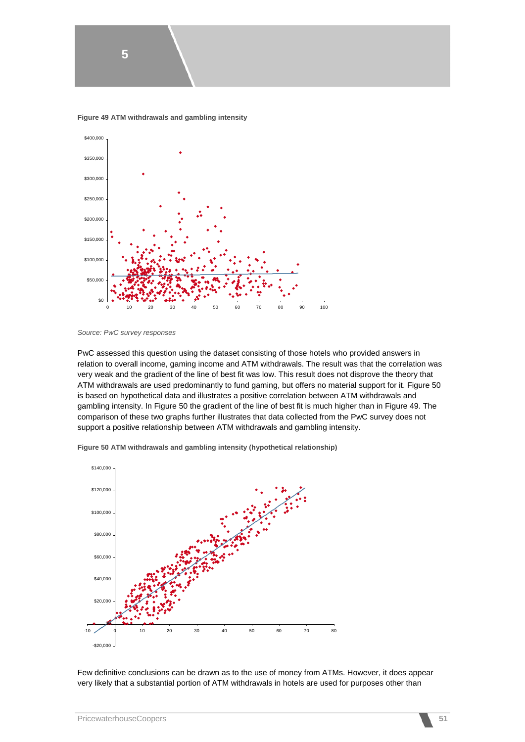

 $$0$ \$50,000 \$100,000 \$150,000 \$200,000 \$250,000 \$300,000 \$350,000 \$400,000 0 10 20 30 40 50 60 70 80 90 100

**Figure 49 ATM withdrawals and gambling intensity** 

PwC assessed this question using the dataset consisting of those hotels who provided answers in relation to overall income, gaming income and ATM withdrawals. The result was that the correlation was very weak and the gradient of the line of best fit was low. This result does not disprove the theory that ATM withdrawals are used predominantly to fund gaming, but offers no material support for it. Figure 50 is based on hypothetical data and illustrates a positive correlation between ATM withdrawals and gambling intensity. In Figure 50 the gradient of the line of best fit is much higher than in Figure 49. The comparison of these two graphs further illustrates that data collected from the PwC survey does not support a positive relationship between ATM withdrawals and gambling intensity.



**Figure 50 ATM withdrawals and gambling intensity (hypothetical relationship)** 

Few definitive conclusions can be drawn as to the use of money from ATMs. However, it does appear very likely that a substantial portion of ATM withdrawals in hotels are used for purposes other than

*Source: PwC survey responses*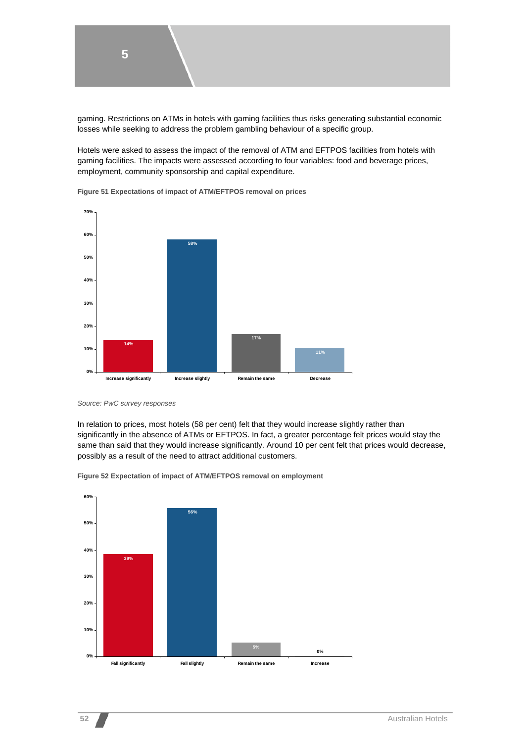

gaming. Restrictions on ATMs in hotels with gaming facilities thus risks generating substantial economic losses while seeking to address the problem gambling behaviour of a specific group.

Hotels were asked to assess the impact of the removal of ATM and EFTPOS facilities from hotels with gaming facilities. The impacts were assessed according to four variables: food and beverage prices, employment, community sponsorship and capital expenditure.



**Figure 51 Expectations of impact of ATM/EFTPOS removal on prices** 

*Source: PwC survey responses* 

In relation to prices, most hotels (58 per cent) felt that they would increase slightly rather than significantly in the absence of ATMs or EFTPOS. In fact, a greater percentage felt prices would stay the same than said that they would increase significantly. Around 10 per cent felt that prices would decrease, possibly as a result of the need to attract additional customers.



**Figure 52 Expectation of impact of ATM/EFTPOS removal on employment**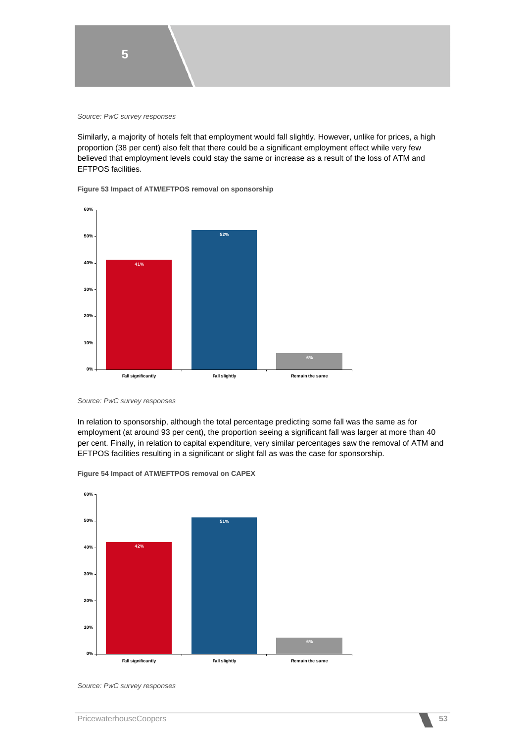

*Source: PwC survey responses* 

Similarly, a majority of hotels felt that employment would fall slightly. However, unlike for prices, a high proportion (38 per cent) also felt that there could be a significant employment effect while very few believed that employment levels could stay the same or increase as a result of the loss of ATM and EFTPOS facilities.



**Figure 53 Impact of ATM/EFTPOS removal on sponsorship** 

*Source: PwC survey responses* 

In relation to sponsorship, although the total percentage predicting some fall was the same as for employment (at around 93 per cent), the proportion seeing a significant fall was larger at more than 40 per cent. Finally, in relation to capital expenditure, very similar percentages saw the removal of ATM and EFTPOS facilities resulting in a significant or slight fall as was the case for sponsorship.



**Figure 54 Impact of ATM/EFTPOS removal on CAPEX** 

*Source: PwC survey responses*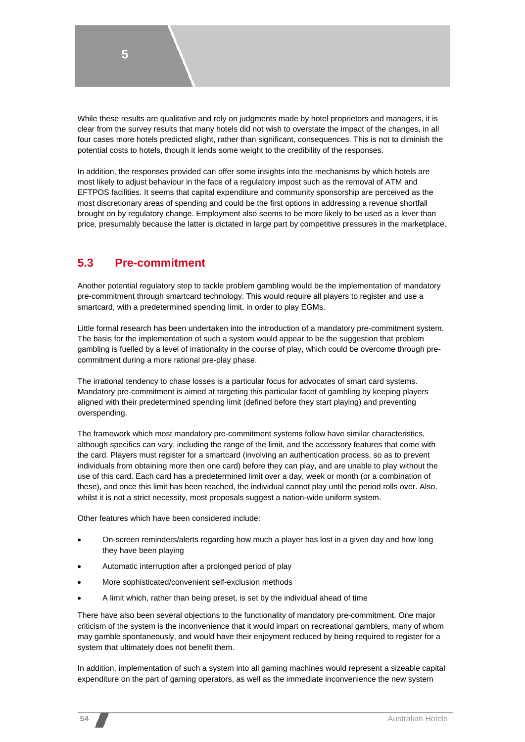

While these results are qualitative and rely on judgments made by hotel proprietors and managers, it is clear from the survey results that many hotels did not wish to overstate the impact of the changes, in all four cases more hotels predicted slight, rather than significant, consequences. This is not to diminish the potential costs to hotels, though it lends some weight to the credibility of the responses.

In addition, the responses provided can offer some insights into the mechanisms by which hotels are most likely to adjust behaviour in the face of a regulatory impost such as the removal of ATM and EFTPOS facilities. It seems that capital expenditure and community sponsorship are perceived as the most discretionary areas of spending and could be the first options in addressing a revenue shortfall brought on by regulatory change. Employment also seems to be more likely to be used as a lever than price, presumably because the latter is dictated in large part by competitive pressures in the marketplace.

## **5.3 Pre-commitment**

Another potential regulatory step to tackle problem gambling would be the implementation of mandatory pre-commitment through smartcard technology. This would require all players to register and use a smartcard, with a predetermined spending limit, in order to play EGMs.

Little formal research has been undertaken into the introduction of a mandatory pre-commitment system. The basis for the implementation of such a system would appear to be the suggestion that problem gambling is fuelled by a level of irrationality in the course of play, which could be overcome through precommitment during a more rational pre-play phase.

The irrational tendency to chase losses is a particular focus for advocates of smart card systems. Mandatory pre-commitment is aimed at targeting this particular facet of gambling by keeping players aligned with their predetermined spending limit (defined before they start playing) and preventing overspending.

The framework which most mandatory pre-commitment systems follow have similar characteristics, although specifics can vary, including the range of the limit, and the accessory features that come with the card. Players must register for a smartcard (involving an authentication process, so as to prevent individuals from obtaining more then one card) before they can play, and are unable to play without the use of this card. Each card has a predetermined limit over a day, week or month (or a combination of these), and once this limit has been reached, the individual cannot play until the period rolls over. Also, whilst it is not a strict necessity, most proposals suggest a nation-wide uniform system.

Other features which have been considered include:

- On-screen reminders/alerts regarding how much a player has lost in a given day and how long they have been playing
- Automatic interruption after a prolonged period of play
- More sophisticated/convenient self-exclusion methods
- A limit which, rather than being preset, is set by the individual ahead of time

There have also been several objections to the functionality of mandatory pre-commitment. One major criticism of the system is the inconvenience that it would impart on recreational gamblers, many of whom may gamble spontaneously, and would have their enjoyment reduced by being required to register for a system that ultimately does not benefit them.

In addition, implementation of such a system into all gaming machines would represent a sizeable capital expenditure on the part of gaming operators, as well as the immediate inconvenience the new system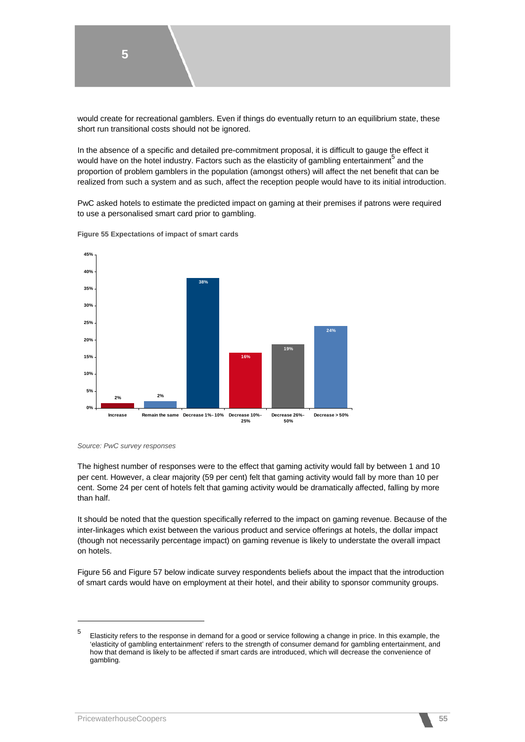

would create for recreational gamblers. Even if things do eventually return to an equilibrium state, these short run transitional costs should not be ignored.

In the absence of a specific and detailed pre-commitment proposal, it is difficult to gauge the effect it would have on the hotel industry. Factors such as the elasticity of gambling entertainment<sup>5</sup> and the proportion of problem gamblers in the population (amongst others) will affect the net benefit that can be realized from such a system and as such, affect the reception people would have to its initial introduction.

PwC asked hotels to estimate the predicted impact on gaming at their premises if patrons were required to use a personalised smart card prior to gambling.



**Figure 55 Expectations of impact of smart cards** 

*Source: PwC survey responses* 

The highest number of responses were to the effect that gaming activity would fall by between 1 and 10 per cent. However, a clear majority (59 per cent) felt that gaming activity would fall by more than 10 per cent. Some 24 per cent of hotels felt that gaming activity would be dramatically affected, falling by more than half.

It should be noted that the question specifically referred to the impact on gaming revenue. Because of the inter-linkages which exist between the various product and service offerings at hotels, the dollar impact (though not necessarily percentage impact) on gaming revenue is likely to understate the overall impact on hotels.

Figure 56 and Figure 57 below indicate survey respondents beliefs about the impact that the introduction of smart cards would have on employment at their hotel, and their ability to sponsor community groups.

 $\overline{a}$ 

<sup>5</sup> Elasticity refers to the response in demand for a good or service following a change in price. In this example, the 'elasticity of gambling entertainment' refers to the strength of consumer demand for gambling entertainment, and how that demand is likely to be affected if smart cards are introduced, which will decrease the convenience of gambling.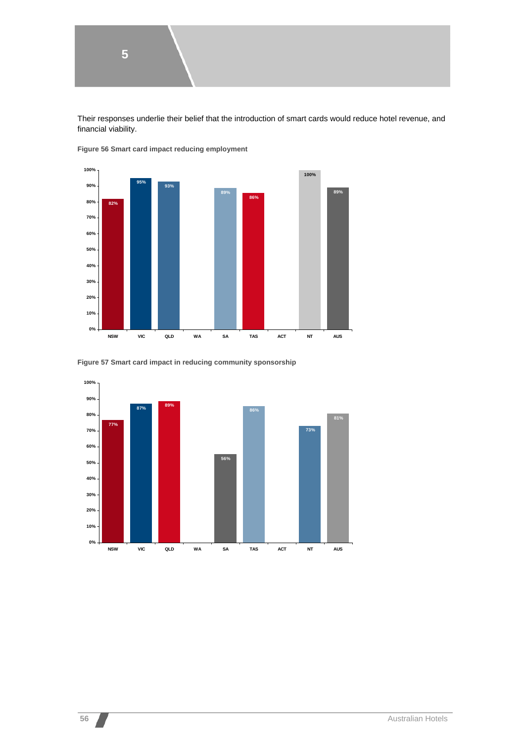

Their responses underlie their belief that the introduction of smart cards would reduce hotel revenue, and financial viability.



**Figure 56 Smart card impact reducing employment** 



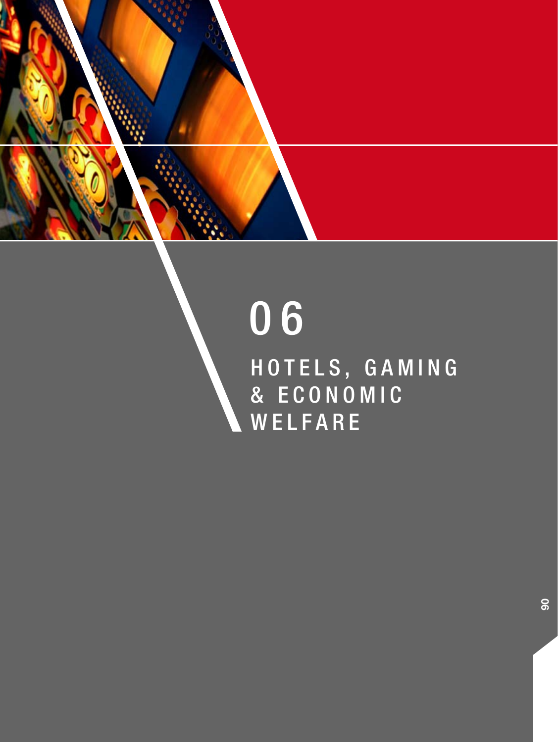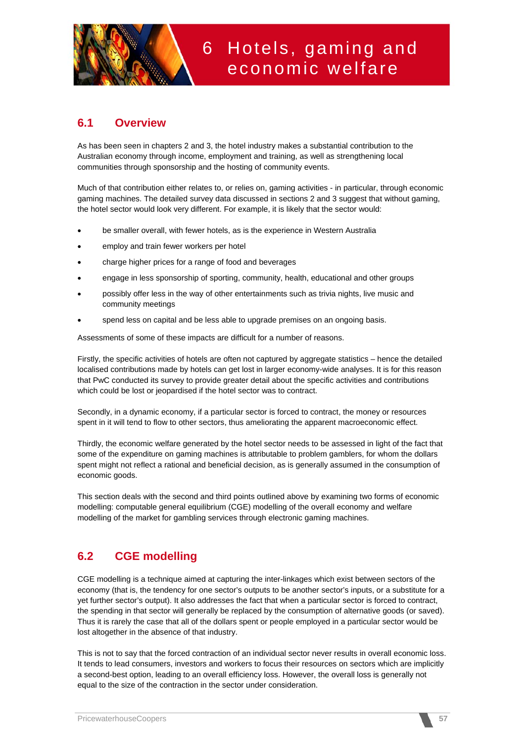

## **6.1 Overview**

As has been seen in chapters 2 and 3, the hotel industry makes a substantial contribution to the Australian economy through income, employment and training, as well as strengthening local communities through sponsorship and the hosting of community events.

Much of that contribution either relates to, or relies on, gaming activities - in particular, through economic gaming machines. The detailed survey data discussed in sections 2 and 3 suggest that without gaming, the hotel sector would look very different. For example, it is likely that the sector would:

- be smaller overall, with fewer hotels, as is the experience in Western Australia
- employ and train fewer workers per hotel
- charge higher prices for a range of food and beverages
- engage in less sponsorship of sporting, community, health, educational and other groups
- possibly offer less in the way of other entertainments such as trivia nights, live music and community meetings
- spend less on capital and be less able to upgrade premises on an ongoing basis.

Assessments of some of these impacts are difficult for a number of reasons.

Firstly, the specific activities of hotels are often not captured by aggregate statistics – hence the detailed localised contributions made by hotels can get lost in larger economy-wide analyses. It is for this reason that PwC conducted its survey to provide greater detail about the specific activities and contributions which could be lost or jeopardised if the hotel sector was to contract.

Secondly, in a dynamic economy, if a particular sector is forced to contract, the money or resources spent in it will tend to flow to other sectors, thus ameliorating the apparent macroeconomic effect.

Thirdly, the economic welfare generated by the hotel sector needs to be assessed in light of the fact that some of the expenditure on gaming machines is attributable to problem gamblers, for whom the dollars spent might not reflect a rational and beneficial decision, as is generally assumed in the consumption of economic goods.

This section deals with the second and third points outlined above by examining two forms of economic modelling: computable general equilibrium (CGE) modelling of the overall economy and welfare modelling of the market for gambling services through electronic gaming machines.

# **6.2 CGE modelling**

CGE modelling is a technique aimed at capturing the inter-linkages which exist between sectors of the economy (that is, the tendency for one sector's outputs to be another sector's inputs, or a substitute for a yet further sector's output). It also addresses the fact that when a particular sector is forced to contract, the spending in that sector will generally be replaced by the consumption of alternative goods (or saved). Thus it is rarely the case that all of the dollars spent or people employed in a particular sector would be lost altogether in the absence of that industry.

This is not to say that the forced contraction of an individual sector never results in overall economic loss. It tends to lead consumers, investors and workers to focus their resources on sectors which are implicitly a second-best option, leading to an overall efficiency loss. However, the overall loss is generally not equal to the size of the contraction in the sector under consideration.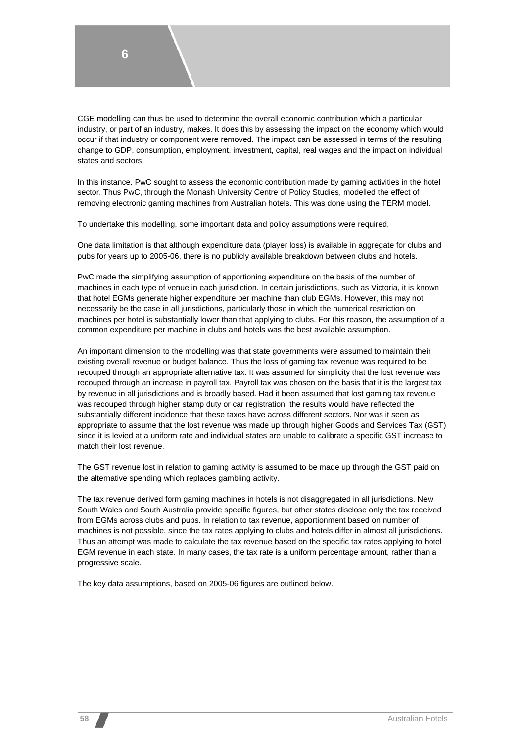

CGE modelling can thus be used to determine the overall economic contribution which a particular industry, or part of an industry, makes. It does this by assessing the impact on the economy which would occur if that industry or component were removed. The impact can be assessed in terms of the resulting change to GDP, consumption, employment, investment, capital, real wages and the impact on individual states and sectors.

In this instance, PwC sought to assess the economic contribution made by gaming activities in the hotel sector. Thus PwC, through the Monash University Centre of Policy Studies, modelled the effect of removing electronic gaming machines from Australian hotels. This was done using the TERM model.

To undertake this modelling, some important data and policy assumptions were required.

One data limitation is that although expenditure data (player loss) is available in aggregate for clubs and pubs for years up to 2005-06, there is no publicly available breakdown between clubs and hotels.

PwC made the simplifying assumption of apportioning expenditure on the basis of the number of machines in each type of venue in each jurisdiction. In certain jurisdictions, such as Victoria, it is known that hotel EGMs generate higher expenditure per machine than club EGMs. However, this may not necessarily be the case in all jurisdictions, particularly those in which the numerical restriction on machines per hotel is substantially lower than that applying to clubs. For this reason, the assumption of a common expenditure per machine in clubs and hotels was the best available assumption.

An important dimension to the modelling was that state governments were assumed to maintain their existing overall revenue or budget balance. Thus the loss of gaming tax revenue was required to be recouped through an appropriate alternative tax. It was assumed for simplicity that the lost revenue was recouped through an increase in payroll tax. Payroll tax was chosen on the basis that it is the largest tax by revenue in all jurisdictions and is broadly based. Had it been assumed that lost gaming tax revenue was recouped through higher stamp duty or car registration, the results would have reflected the substantially different incidence that these taxes have across different sectors. Nor was it seen as appropriate to assume that the lost revenue was made up through higher Goods and Services Tax (GST) since it is levied at a uniform rate and individual states are unable to calibrate a specific GST increase to match their lost revenue.

The GST revenue lost in relation to gaming activity is assumed to be made up through the GST paid on the alternative spending which replaces gambling activity.

The tax revenue derived form gaming machines in hotels is not disaggregated in all jurisdictions. New South Wales and South Australia provide specific figures, but other states disclose only the tax received from EGMs across clubs and pubs. In relation to tax revenue, apportionment based on number of machines is not possible, since the tax rates applying to clubs and hotels differ in almost all jurisdictions. Thus an attempt was made to calculate the tax revenue based on the specific tax rates applying to hotel EGM revenue in each state. In many cases, the tax rate is a uniform percentage amount, rather than a progressive scale.

The key data assumptions, based on 2005-06 figures are outlined below.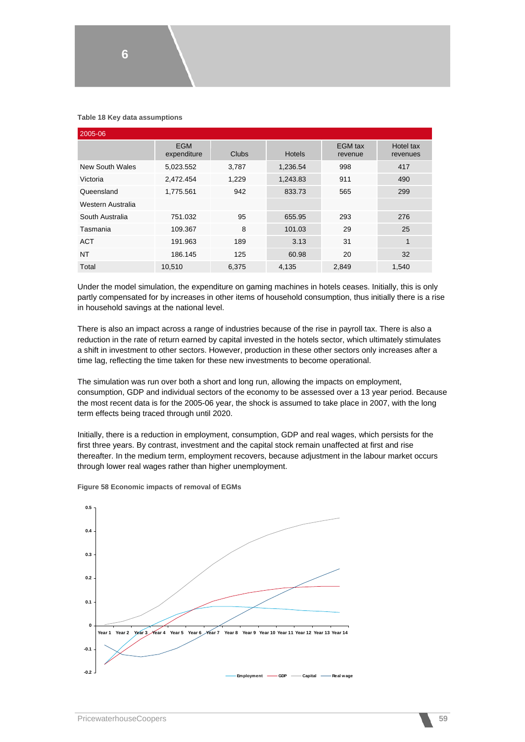#### **Table 18 Key data assumptions**

| 2005-06           |                           |              |               |                           |                       |
|-------------------|---------------------------|--------------|---------------|---------------------------|-----------------------|
|                   | <b>EGM</b><br>expenditure | <b>Clubs</b> | <b>Hotels</b> | <b>EGM</b> tax<br>revenue | Hotel tax<br>revenues |
| New South Wales   | 5,023.552                 | 3,787        | 1,236.54      | 998                       | 417                   |
| Victoria          | 2,472.454                 | 1,229        | 1,243.83      | 911                       | 490                   |
| Queensland        | 1,775.561                 | 942          | 833.73        | 565                       | 299                   |
| Western Australia |                           |              |               |                           |                       |
| South Australia   | 751.032                   | 95           | 655.95        | 293                       | 276                   |
| Tasmania          | 109.367                   | 8            | 101.03        | 29                        | 25                    |
| <b>ACT</b>        | 191.963                   | 189          | 3.13          | 31                        | 1                     |
| NT                | 186.145                   | 125          | 60.98         | 20                        | 32                    |
| Total             | 10,510                    | 6,375        | 4,135         | 2,849                     | 1,540                 |

Under the model simulation, the expenditure on gaming machines in hotels ceases. Initially, this is only partly compensated for by increases in other items of household consumption, thus initially there is a rise in household savings at the national level.

There is also an impact across a range of industries because of the rise in payroll tax. There is also a reduction in the rate of return earned by capital invested in the hotels sector, which ultimately stimulates a shift in investment to other sectors. However, production in these other sectors only increases after a time lag, reflecting the time taken for these new investments to become operational.

The simulation was run over both a short and long run, allowing the impacts on employment, consumption, GDP and individual sectors of the economy to be assessed over a 13 year period. Because the most recent data is for the 2005-06 year, the shock is assumed to take place in 2007, with the long term effects being traced through until 2020.

Initially, there is a reduction in employment, consumption, GDP and real wages, which persists for the first three years. By contrast, investment and the capital stock remain unaffected at first and rise thereafter. In the medium term, employment recovers, because adjustment in the labour market occurs through lower real wages rather than higher unemployment.



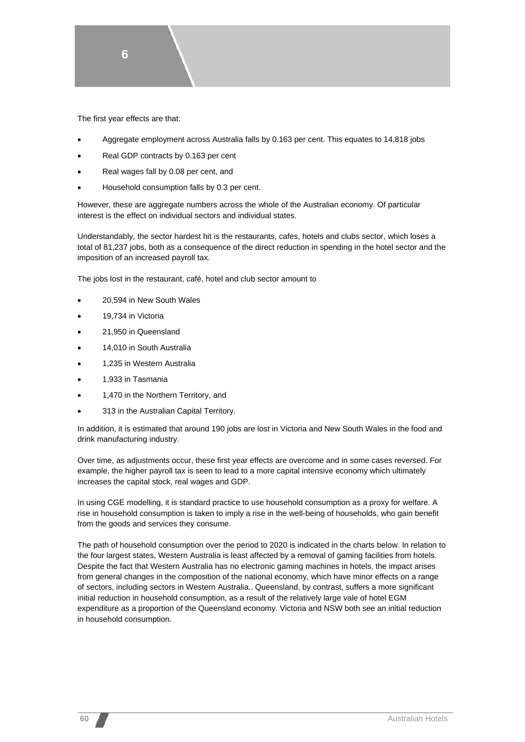

The first year effects are that:

- Aggregate employment across Australia falls by 0.163 per cent. This equates to 14,818 jobs
- Real GDP contracts by 0.163 per cent
- Real wages fall by 0.08 per cent, and
- Household consumption falls by 0.3 per cent.

However, these are aggregate numbers across the whole of the Australian economy. Of particular interest is the effect on individual sectors and individual states.

Understandably, the sector hardest hit is the restaurants, cafes, hotels and clubs sector, which loses a total of 81,237 jobs, both as a consequence of the direct reduction in spending in the hotel sector and the imposition of an increased payroll tax.

The jobs lost in the restaurant, café, hotel and club sector amount to

- 20,594 in New South Wales
- 19,734 in Victoria
- 21,950 in Queensland
- 14,010 in South Australia
- 1,235 in Western Australia
- 1,933 in Tasmania
- 1,470 in the Northern Territory, and
- 313 in the Australian Capital Territory.

In addition, it is estimated that around 190 jobs are lost in Victoria and New South Wales in the food and drink manufacturing industry.

Over time, as adjustments occur, these first year effects are overcome and in some cases reversed. For example, the higher payroll tax is seen to lead to a more capital intensive economy which ultimately increases the capital stock, real wages and GDP.

In using CGE modelling, it is standard practice to use household consumption as a proxy for welfare. A rise in household consumption is taken to imply a rise in the well-being of households, who gain benefit from the goods and services they consume.

The path of household consumption over the period to 2020 is indicated in the charts below. In relation to the four largest states, Western Australia is least affected by a removal of gaming facilities from hotels. Despite the fact that Western Australia has no electronic gaming machines in hotels, the impact arises from general changes in the composition of the national economy, which have minor effects on a range of sectors, including sectors in Western Australia.. Queensland, by contrast, suffers a more significant initial reduction in household consumption, as a result of the relatively large vale of hotel EGM expenditure as a proportion of the Queensland economy. Victoria and NSW both see an initial reduction in household consumption.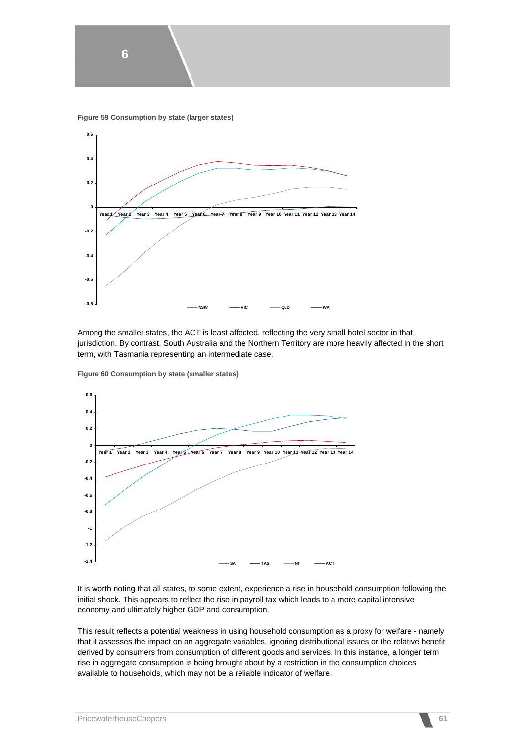

**Figure 59 Consumption by state (larger states)** 



Among the smaller states, the ACT is least affected, reflecting the very small hotel sector in that jurisdiction. By contrast, South Australia and the Northern Territory are more heavily affected in the short term, with Tasmania representing an intermediate case.

**Figure 60 Consumption by state (smaller states)** 



It is worth noting that all states, to some extent, experience a rise in household consumption following the initial shock. This appears to reflect the rise in payroll tax which leads to a more capital intensive economy and ultimately higher GDP and consumption.

This result reflects a potential weakness in using household consumption as a proxy for welfare - namely that it assesses the impact on an aggregate variables, ignoring distributional issues or the relative benefit derived by consumers from consumption of different goods and services. In this instance, a longer term rise in aggregate consumption is being brought about by a restriction in the consumption choices available to households, which may not be a reliable indicator of welfare.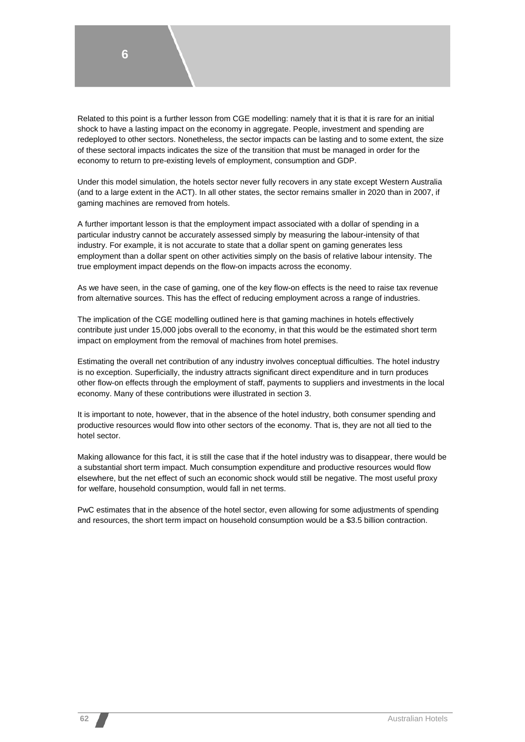

Related to this point is a further lesson from CGE modelling: namely that it is that it is rare for an initial shock to have a lasting impact on the economy in aggregate. People, investment and spending are redeployed to other sectors. Nonetheless, the sector impacts can be lasting and to some extent, the size of these sectoral impacts indicates the size of the transition that must be managed in order for the economy to return to pre-existing levels of employment, consumption and GDP.

Under this model simulation, the hotels sector never fully recovers in any state except Western Australia (and to a large extent in the ACT). In all other states, the sector remains smaller in 2020 than in 2007, if gaming machines are removed from hotels.

A further important lesson is that the employment impact associated with a dollar of spending in a particular industry cannot be accurately assessed simply by measuring the labour-intensity of that industry. For example, it is not accurate to state that a dollar spent on gaming generates less employment than a dollar spent on other activities simply on the basis of relative labour intensity. The true employment impact depends on the flow-on impacts across the economy.

As we have seen, in the case of gaming, one of the key flow-on effects is the need to raise tax revenue from alternative sources. This has the effect of reducing employment across a range of industries.

The implication of the CGE modelling outlined here is that gaming machines in hotels effectively contribute just under 15,000 jobs overall to the economy, in that this would be the estimated short term impact on employment from the removal of machines from hotel premises.

Estimating the overall net contribution of any industry involves conceptual difficulties. The hotel industry is no exception. Superficially, the industry attracts significant direct expenditure and in turn produces other flow-on effects through the employment of staff, payments to suppliers and investments in the local economy. Many of these contributions were illustrated in section 3.

It is important to note, however, that in the absence of the hotel industry, both consumer spending and productive resources would flow into other sectors of the economy. That is, they are not all tied to the hotel sector.

Making allowance for this fact, it is still the case that if the hotel industry was to disappear, there would be a substantial short term impact. Much consumption expenditure and productive resources would flow elsewhere, but the net effect of such an economic shock would still be negative. The most useful proxy for welfare, household consumption, would fall in net terms.

PwC estimates that in the absence of the hotel sector, even allowing for some adjustments of spending and resources, the short term impact on household consumption would be a \$3.5 billion contraction.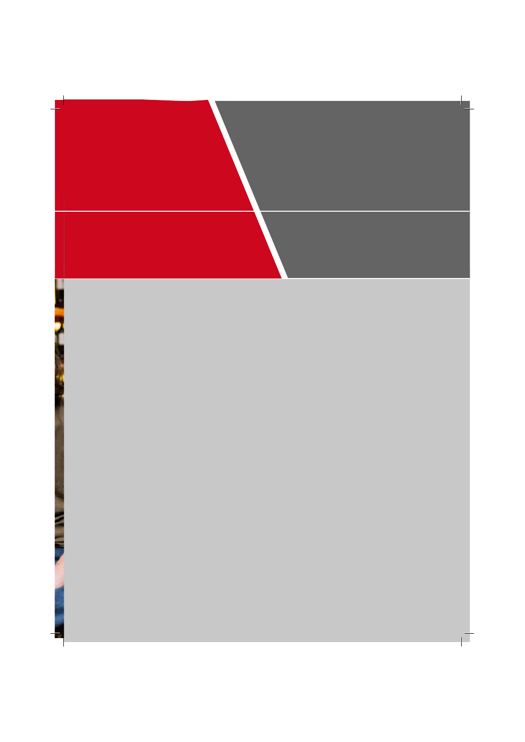